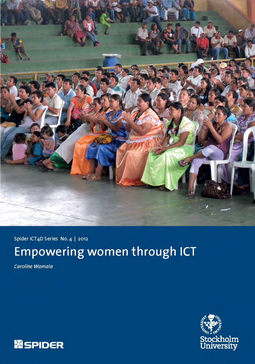

Spider ICT4D Series No. 4 | 2012

# Empowering women through ICT

Caroline Wamala



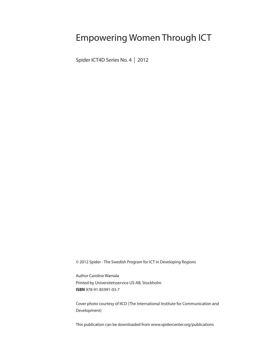# Empowering Women Through ICT

Spider ICT4D Series No. 4 | 2012

© 2012 Spider - The Swedish Program for ICT in Developing Regions

Author Caroline Wamala Printed by Universitetsservice US-AB, Stockholm **ISBN** 978-91-85991-03-7

Cover photo courtesy of IICD (The International Institute for Communication and Development)

This publication can be downloaded from www.spidercenter.org/publications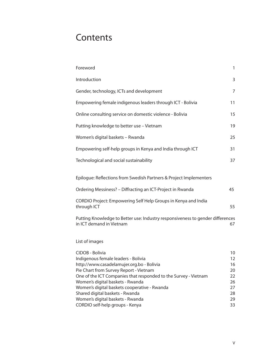## **Contents**

| Foreword                                                                                                                                                                                                                                                                                                                                | 1                                            |
|-----------------------------------------------------------------------------------------------------------------------------------------------------------------------------------------------------------------------------------------------------------------------------------------------------------------------------------------|----------------------------------------------|
| Introduction                                                                                                                                                                                                                                                                                                                            | 3                                            |
| Gender, technology, ICTs and development                                                                                                                                                                                                                                                                                                | 7                                            |
| Empowering female indigenous leaders through ICT - Bolivia                                                                                                                                                                                                                                                                              | 11                                           |
| Online consulting service on domestic violence - Bolivia                                                                                                                                                                                                                                                                                | 15                                           |
| Putting knowledge to better use - Vietnam                                                                                                                                                                                                                                                                                               | 19                                           |
| Women's digital baskets - Rwanda                                                                                                                                                                                                                                                                                                        | 25                                           |
| Empowering self-help groups in Kenya and India through ICT                                                                                                                                                                                                                                                                              | 31                                           |
| Technological and social sustainability                                                                                                                                                                                                                                                                                                 | 37                                           |
| Epilogue: Reflections from Swedish Partners & Project Implementers                                                                                                                                                                                                                                                                      |                                              |
| Ordering Messiness? - Diffracting an ICT-Project in Rwanda                                                                                                                                                                                                                                                                              | 45                                           |
| CORDIO Project: Empowering Self Help Groups in Kenya and India<br>through ICT                                                                                                                                                                                                                                                           | 55                                           |
| Putting Knowledge to Better use: Industry responsiveness to gender differences<br>in ICT demand in Vietnam                                                                                                                                                                                                                              | 67                                           |
| List of images                                                                                                                                                                                                                                                                                                                          |                                              |
| CIDOB - Bolivia<br>Indigenous female leaders - Bolivia<br>http://www.casadelamujer.org.bo - Bolivia<br>Pie Chart from Survey Report - Vietnam<br>One of the ICT Companies that responded to the Survey - Vietnam<br>Women's digital baskets - Rwanda<br>Women's digital baskets cooperative - Rwanda<br>Shared digital baskets - Rwanda | 10<br>12<br>16<br>20<br>22<br>26<br>27<br>28 |
| Women's digital baskets - Rwanda                                                                                                                                                                                                                                                                                                        | 29                                           |

CORDIO self-help groups - Kenya 33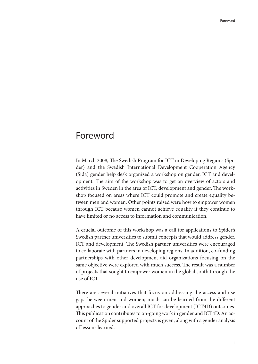### Foreword

In March 2008, The Swedish Program for ICT in Developing Regions (Spider) and the Swedish International Development Cooperation Agency (Sida) gender help desk organized a workshop on gender, ICT and development. The aim of the workshop was to get an overview of actors and activities in Sweden in the area of ICT, development and gender. The workshop focused on areas where ICT could promote and create equality between men and women. Other points raised were how to empower women through ICT because women cannot achieve equality if they continue to have limited or no access to information and communication.

A crucial outcome of this workshop was a call for applications to Spider's Swedish partner universities to submit concepts that would address gender, ICT and development. The Swedish partner universities were encouraged to collaborate with partners in developing regions. In addition, co-funding partnerships with other development aid organizations focusing on the same objective were explored with much success. The result was a number of projects that sought to empower women in the global south through the use of ICT.

There are several initiatives that focus on addressing the access and use gaps between men and women; much can be learned from the different approaches to gender and overall ICT for development (ICT4D) outcomes. This publication contributes to on-going work in gender and ICT4D. An account of the Spider supported projects is given, along with a gender analysis of lessons learned.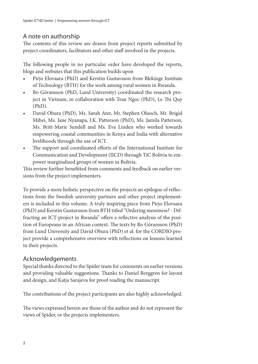#### A note on authorship

The contents of this review are drawn from project reports submitted by project coordinators, facilitators and other staff involved in the projects.

The following people in no particular order have developed the reports, blogs and websites that this publication builds upon

- Pirjo Elovaara (PhD) and Kerstin Gustavsson from Blekinge Institute of Technology (BTH) for the work among rural women in Rwanda.
- Bo Göransson (PhD, Lund University) coordinated the research project in Vietnam, in collaboration with Tran Ngoc (PhD), Le Thi Quy (PhD).
- David Obura (PhD), Ms. Sarah Ater, Mr. Stephen Oluoch, Mr. Brigid Mibei, Ms. Jane Nyanapa, J.K. Patterson (PhD), Ms. Jamila Patterson, Ms. Britt-Marie Sundell and Ms. Eva Linden who worked towards empowering coastal communities in Kenya and India with alternative livelihoods through the use of ICT.
- • The support and coordinated efforts of the International Institute for Communication and Development (IICD) through TiC Bolivia to empower marginalized groups of women in Bolivia.

This review further benefitted from comments and feedback on earlier versions from the project implementers.

To provide a more holistic perspective on the projects an epilogue of reflections from the Swedish university partners and other project implementers is included in this volume. A truly inspiring piece from Pirjo Elovaara (PhD) and Kerstin Gustavsson from BTH titled "Ordering messiness? - Diffracting an ICT-project in Rwanda" offers a reflective analysis of the position of Europeans in an African context. The texts by Bo Göransson (PhD) from Lund University and David Obura (PhD) et al. for the CORDIO project provide a comprehensive overview with reflections on lessons learned in their projects.

#### Acknowledgements

Special thanks directed to the Spider team for comments on earlier versions and providing valuable suggestions. Thanks to Daniel Berggren for layout and design, and Katja Sarajeva for proof reading the manuscript.

The contributions of the project participants are also highly acknowledged.

The views expressed herein are those of the author and do not represent the views of Spider, or the projects implementers.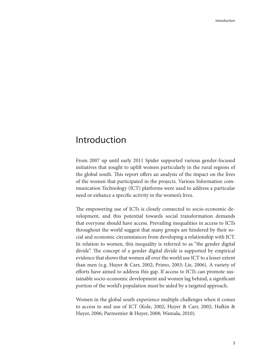### Introduction

From 2007 up until early 2011 Spider supported various gender-focused initiatives that sought to uplift women particularly in the rural regions of the global south. This report offers an analysis of the impact on the lives of the women that participated in the projects. Various Information communication Technology (ICT) platforms were used to address a particular need or enhance a specific activity in the women's lives.

The empowering use of ICTs is closely connected to socio-economic development, and this potential towards social transformation demands that everyone should have access. Prevailing inequalities in access to ICTs throughout the world suggest that many groups are hindered by their social and economic circumstances from developing a relationship with ICT. In relation to women, this inequality is referred to as "the gender digital divide". The concept of a gender digital divide is supported by empirical evidence that shows that women all over the world use ICT to a lesser extent than men (e.g. Huyer & Carr, 2002; Primo, 2003; Lie, 2006). A variety of efforts have aimed to address this gap. If access to ICTs can promote sustainable socio-economic development and women lag behind, a significant portion of the world's population must be aided by a targeted approach.

Women in the global south experience multiple challenges when it comes to access to and use of ICT (Kole, 2002; Huyer & Carr, 2002; Hafkin & Huyer, 2006; Parmentier & Huyer, 2008; Wamala, 2010).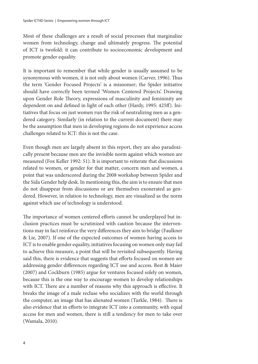Most of these challenges are a result of social processes that marginalize women from technology, change and ultimately progress. The potential of ICT is twofold: it can contribute to socioeconomic development and promote gender equality.

It is important to remember that while gender is usually assumed to be synonymous with women, it is not only about women (Carver, 1996). Thus the term 'Gender Focused Projects' is a misnomer; the Spider initiative should have correctly been termed 'Women Centered Projects'. Drawing upon Gender Role Theory, expressions of masculinity and femininity are dependent on and defined in light of each other (Hardy, 1995: 425ff). Initiatives that focus on just women run the risk of neutralizing men as a gendered category. Similarly (in relation to the current document) there may be the assumption that men in developing regions do not experience access challenges related to ICT: this is not the case.

Even though men are largely absent in this report, they are also paradoxically present because men are the invisible norm against which women are measured (Fox Keller 1992: 51). It is important to reiterate that discussions related to women, or gender for that matter, concern men and women, a point that was underscored during the 2008 workshop between Spider and the Sida Gender help desk. In mentioning this, the aim is to ensure that men do not disappear from discussions or are themselves exonerated as gendered. However, in relation to technology, men are visualized as the norm against which use of technology is understood.

The importance of women centered efforts cannot be underplayed but inclusion practices must be scrutinized with caution because the interventions may in fact reinforce the very differences they aim to bridge (Faulkner & Lie, 2007). If one of the expected outcomes of women having access to ICT is to enable gender equality, initiatives focusing on women only may fail to achieve this measure, a point that will be revisited subsequently. Having said this, there is evidence that suggests that efforts focused on women are addressing gender differences regarding ICT use and access. Best & Maier (2007) and Cockburn (1985) argue for ventures focused solely on women, because this is the one way to encourage women to develop relationships with ICT. There are a number of reasons why this approach is effective. It breaks the image of a male recluse who socializes with the world through the computer, an image that has alienated women (Turkle, 1984). There is also evidence that in efforts to integrate ICT into a community, with equal access for men and women, there is still a tendency for men to take over (Wamala, 2010).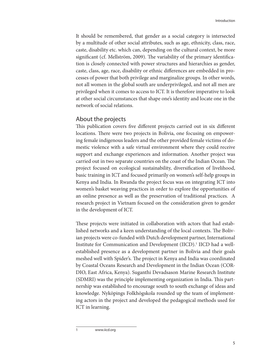It should be remembered, that gender as a social category is intersected by a multitude of other social attributes, such as age, ethnicity, class, race, caste, disability etc. which can, depending on the cultural context, be more significant (cf. Mellström, 2009). The variability of the primary identification is closely connected with power structures and hierarchies as gender, caste, class, age, race, disability or ethnic differences are embedded in processes of power that both privilege and marginalize groups. In other words, not all women in the global south are underprivileged, and not all men are privileged when it comes to access to ICT. It is therefore imperative to look at other social circumstances that shape one's identity and locate one in the network of social relations.

#### About the projects

This publication covers five different projects carried out in six different locations. There were two projects in Bolivia, one focusing on empowering female indigenous leaders and the other provided female victims of domestic violence with a safe virtual environment where they could receive support and exchange experiences and information. Another project was carried out in two separate countries on the coast of the Indian Ocean. The project focused on ecological sustainability, diversification of livelihood, basic training in ICT and focused primarily on women's self-help groups in Kenya and India. In Rwanda the project focus was on integrating ICT into women's basket weaving practices in order to explore the opportunities of an online presence as well as the preservation of traditional practices. A research project in Vietnam focused on the consideration given to gender in the development of ICT.

These projects were initiated in collaboration with actors that had established networks and a keen understanding of the local contexts. The Bolivian projects were co-funded with Dutch development partner, International Institute for Communication and Development (IICD).1 IICD had a wellestablished presence as a development partner in Bolivia and their goals meshed well with Spider's. The project in Kenya and India was coordinated by Coastal Oceans Research and Development in the Indian Ocean (COR-DIO, East Africa, Kenya). Suganthi Devadsason Marine Research Institute (SDMRI) was the principle implementing organization in India. This partnership was established to encourage south to south exchange of ideas and knowledge. Nyköpings Folkhögskola rounded up the team of implementing actors in the project and developed the pedagogical methods used for ICT in learning.

<sup>1</sup> www.iicd.org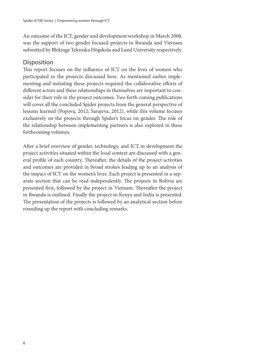An outcome of the ICT, gender and development workshop in March 2008, was the support of two gender focused projects in Rwanda and Vietnam submitted by Blekinge Tekniska Högskola and Lund University respectively.

#### **Disposition**

This report focuses on the influence of ICT on the lives of women who participated in the projects discussed here. As mentioned earlier implementing and initiating these projects required the collaborative efforts of different actors and these relationships in themselves are important to consider for their role in the project outcomes. Two forth coming publications will cover all the concluded Spider projects from the general perspective of lessons learned (Popova, 2012; Sarajeva, 2012), while this volume focuses exclusively on the projects through Spider's focus on gender. The role of the relationship between implementing partners is also explored in these forthcoming volumes.

After a brief overview of gender, technology, and ICT in development the project activities situated within the local context are discussed with a general profile of each country. Thereafter, the details of the project activities and outcomes are provided in broad strokes leading up to an analysis of the impact of ICT on the women's lives. Each project is presented in a separate section that can be read independently. The projects in Bolivia are presented first, followed by the project in Vietnam. Thereafter the project in Rwanda is outlined. Finally the project in Kenya and India is presented. The presentation of the projects is followed by an analytical section before rounding up the report with concluding remarks.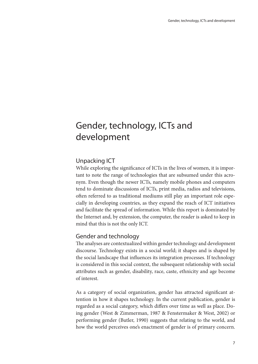### Gender, technology, ICTs and development

#### Unpacking ICT

While exploring the significance of ICTs in the lives of women, it is important to note the range of technologies that are subsumed under this acronym. Even though the newer ICTs, namely mobile phones and computers tend to dominate discussions of ICTs, print media, radios and televisions, often referred to as traditional mediums still play an important role especially in developing countries, as they expand the reach of ICT initiatives and facilitate the spread of information. While this report is dominated by the Internet and, by extension, the computer, the reader is asked to keep in mind that this is not the only ICT.

#### Gender and technology

The analyses are contextualized within gender technology and development discourse. Technology exists in a social world; it shapes and is shaped by the social landscape that influences its integration processes. If technology is considered in this social context, the subsequent relationship with social attributes such as gender, disability, race, caste, ethnicity and age become of interest.

As a category of social organization, gender has attracted significant attention in how it shapes technology. In the current publication, gender is regarded as a social category, which differs over time as well as place. Doing gender (West & Zimmerman, 1987 & Fenstermaker & West, 2002) or performing gender (Butler, 1990) suggests that relating to the world, and how the world perceives one's enactment of gender is of primary concern.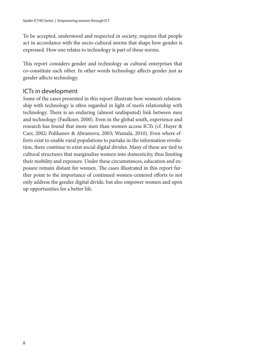To be accepted, understood and respected in society, requires that people act in accordance with the socio-cultural norms that shape how gender is expressed. How one relates to technology is part of these norms.

This report considers gender and technology as cultural enterprises that co-constitute each other. In other words technology affects gender just as gender affects technology.

#### ICTs in development

Some of the cases presented in this report illustrate how women's relationship with technology is often regarded in light of men's relationship with technology. There is an enduring (almost undisputed) link between men and technology (Faulkner, 2000). Even in the global south, experience and research has found that more men than women access ICTs (cf. Huyer & Carr, 2002; Polikanov & Abramova, 2003; Wamala, 2010). Even where efforts exist to enable rural populations to partake in the information revolution, there continue to exist social digital divides. Many of these are tied to cultural structures that marginalize women into domesticity, thus limiting their mobility and exposure. Under these circumstances, education and exposure remain distant for women. The cases illustrated in this report further point to the importance of continued women-centered efforts to not only address the gender digital divide, but also empower women and open up opportunities for a better life.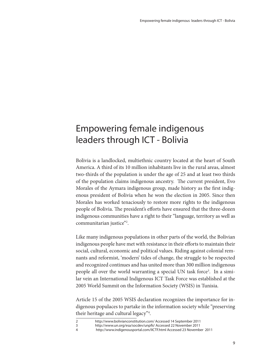## Empowering female indigenous leaders through ICT - Bolivia

Bolivia is a landlocked, multiethnic country located at the heart of South America. A third of its 10 million inhabitants live in the rural areas, almost two-thirds of the population is under the age of 25 and at least two thirds of the population claims indigenous ancestry. The current president, Evo Morales of the Aymara indigenous group, made history as the first indigenous president of Bolivia when he won the election in 2005. Since then Morales has worked tenaciously to restore more rights to the indigenous people of Bolivia. The president's efforts have ensured that the three-dozen indigenous communities have a right to their "language, territory as well as communitarian justice"2 .

Like many indigenous populations in other parts of the world, the Bolivian indigenous people have met with resistance in their efforts to maintain their social, cultural, economic and political values. Riding against colonial remnants and reformist, 'modern' tides of change, the struggle to be respected and recognized continues and has united more than 300 million indigenous people all over the world warranting a special UN task force<sup>3</sup>. In a similar vein an International Indigenous ICT Task Force was established at the 2005 World Summit on the Information Society (WSIS) in Tunisia.

Article 15 of the 2005 WSIS declaration recognizes the importance for indigenous populaces to partake in the information society while "preserving their heritage and cultural legacy"4 .

- 2 http://www.bolivianconstitution.com/ Accessed 14 September 2011
- 3 http://www.un.org/esa/socdev/unpfii/ Accessed 22 November 2011

<sup>4</sup> http://www.indigenousportal.com/IICTF.html Accessed 23 November 2011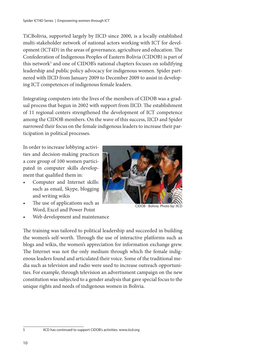TiCBolivia, supported largely by IICD since 2000, is a locally established multi-stakeholder network of national actors working with ICT for development (ICT4D) in the areas of governance, agriculture and education. The Confederation of Indigenous Peoples of Eastern Bolivia (CIDOB) is part of this network5 and one of CIDOB's national chapters focuses on solidifying leadership and public policy advocacy for indigenous women. Spider partnered with IICD from January 2009 to December 2009 to assist in developing ICT competences of indigenous female leaders.

Integrating computers into the lives of the members of CIDOB was a gradual process that begun in 2002 with support from IICD. The establishment of 11 regional centers strengthened the development of ICT competence among the CIDOB members. On the wave of this success, IICD and Spider narrowed their focus on the female indigenous leaders to increase their participation in political processes.

In order to increase lobbying activities and decision-making practices a core group of 100 women participated in computer skills development that qualified them in:

- Computer and Internet skills: such as email, Skype, blogging and writing wikis
- The use of applications such as Word, Excel and Power Point



CIDOB - Bolivia. Photo by: IICD

Web development and maintenance

The training was tailored to political leadership and succeeded in building the women's self-worth. Through the use of interactive platforms such as blogs and wikis, the women's appreciation for information exchange grew. The Internet was not the only medium through which the female indigenous leaders found and articulated their voice. Some of the traditional media such as television and radio were used to increase outreach opportunities. For example, through television an advertisment campaign on the new constitution was subjected to a gender analysis that gave special focus to the unique rights and needs of indigenous women in Bolivia.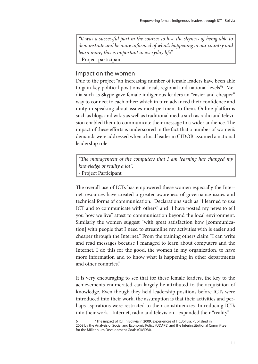*"It was a successful part in the courses to lose the shyness of being able to demonstrate and be more informed of what's happening in our country and learn more, this is important in everyday life".* 

- Project participant

#### Impact on the women

Due to the project "an increasing number of female leaders have been able to gain key political positions at local, regional and national levels"6 . Media such as Skype gave female indigenous leaders an "easier and cheaper" way to connect to each other; which in turn advanced their confidence and unity in speaking about issues most pertinent to them. Online platforms such as blogs and wikis as well as traditional media such as radio and television enabled them to communicate their message to a wider audience. The impact of these efforts is underscored in the fact that a number of women's demands were addressed when a local leader in CIDOB assumed a national leadership role.

*"The management of the computers that I am learning has changed my knowledge of reality a lot".* - Project Participant

The overall use of ICTs has empowered these women especially the Internet resources have created a greater awareness of governance issues and technical forms of communication. Declarations such as "I learned to use ICT and to communicate with others" and "I have posted my news to tell you how we live" attest to communication beyond the local environment. Similarly the women suggest "with great satisfaction how [communication] with people that I need to streamline my activities with is easier and cheaper through the Internet." From the training others claim "I can write and read messages because I managed to learn about computers and the Internet. I do this for the good, the women in my organization, to have more information and to know what is happening in other departments and other countries."

It is very encouraging to see that for these female leaders, the key to the achievements enumerated can largely be attributed to the acquisition of knowledge. Even though they held leadership positions before ICTs were introduced into their work, the assumption is that their activities and perhaps aspirations were restricted to their constituencies. Introducing ICTs into their work - Internet, radio and television - expanded their "reality".

<sup>&</sup>quot;The impact of ICT in Bolivia in 2009: experiences of TiCBolivia: Published in 2008 by the Analysis of Social and Economic Policy (UDAPE) and the Interinstitutional Committee for the Millennium Development Goals (CIMDM).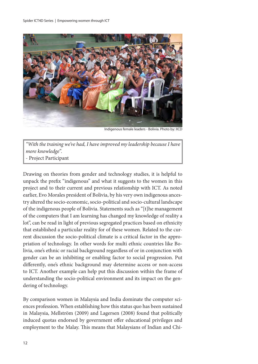

Indigenous female leaders - Bolivia. Photo by: IICD

*"With the training we've had, I have improved my leadership because I have more knowledge".* - Project Participant

Drawing on theories from gender and technology studies, it is helpful to unpack the prefix "indigenous" and what it suggests to the women in this project and to their current and previous relationship with ICT. As noted earlier, Evo Morales president of Bolivia, by his very own indigenous ancestry altered the socio-economic, socio-political and socio-cultural landscape of the indigenous people of Bolivia. Statements such as "[t]he management of the computers that I am learning has changed my knowledge of reality a lot", can be read in light of previous segregated practices based on ethnicity that established a particular reality for of these women. Related to the current discussion the socio-political climate is a critical factor in the appropriation of technology. In other words for multi ethnic countries like Bolivia, one's ethnic or racial background regardless of or in conjunction with gender can be an inhibiting or enabling factor to social progression. Put differently, one's ethnic background may determine access or non-access to ICT. Another example can help put this discussion within the frame of understanding the socio-political environment and its impact on the gendering of technology.

By comparison women in Malaysia and India dominate the computer sciences profession. When establishing how this status quo has been sustained in Malaysia, Mellström (2009) and Lagersen (2008) found that politically induced quotas endorsed by government offer educational privileges and employment to the Malay. This means that Malaysians of Indian and Chi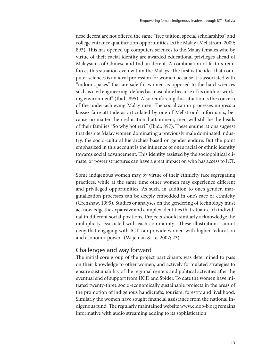nese decent are not offered the same "free tuition, special scholarships" and college entrance qualification opportunities as the Malay (Mellström, 2009; 893). This has opened up computers sciences to the Malay females who by virtue of their racial identity are awarded educational privileges ahead of Malaysians of Chinese and Indian decent. A combination of factors reinforces this situation even within the Malays. The first is the idea that computer sciences is an ideal profession for women because it is associated with "indoor spaces" that are safe for women as opposed to the hard sciences such as civil engineering "defined as masculine because of its outdoor working environment" (Ibid.; 895). Also reinforcing this situation is the concern of the under-achieving Malay men. The socialization processes impress a laissez faire attitude as articulated by one of Mellström's informants, because no matter their educational attainment, men will still be the heads of their families "So why bother?" (Ibid.; 897). These enumerations suggest that despite Malay women dominating a previously male dominated industry, the socio-cultural hierarchies based on gender endure. But the point emphasized in this account is the influence of one's racial or ethnic identity towards social advancement. This identity assisted by the sociopolitical climate, or power structures can have a great impact on who has access to ICT.

Some indigenous women may by virtue of their ethnicity face segregating practices, while at the same time other women may experience different and privileged opportunities. As such, in addition to one's gender, marginalization processes can be deeply embedded in one's race or ethnicity (Crenshaw, 1999). Studies or analyses on the gendering of technology must acknowledge the expansive and complex identities that situate each individual in different social positions. Projects should similarly acknowledge the multiplicity associated with each community. These illustrations cannot deny that engaging with ICT can provide women with higher "education and economic power" (Wajcman & Le, 2007; 23).

#### Challenges and way forward

The initial core group of the project participants was determined to pass on their knowledge to other women, and actively formulated strategies to ensure sustainability of the regional centers and political activities after the eventual end of support from IICD and Spider. To date the women have initiated twenty-three socio-economically sustainable projects in the areas of the promotion of indigenous handicrafts, tourism, forestry and livelihood. Similarly the women have sought financial assistance from the national indigenous fund. The regularly maintained website www.cidob-b.org remains informative with audio streaming adding to its sophistication.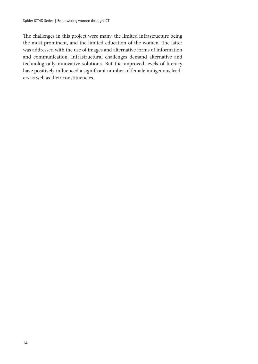The challenges in this project were many, the limited infrastructure being the most prominent, and the limited education of the women. The latter was addressed with the use of images and alternative forms of information and communication. Infrastructural challenges demand alternative and technologically innovative solutions. But the improved levels of literacy have positively influenced a significant number of female indigenous leaders as well as their constituencies.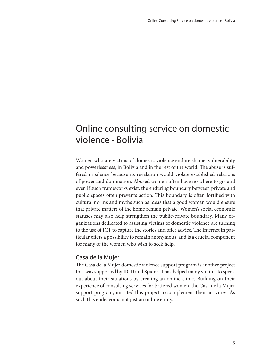### Online consulting service on domestic violence - Bolivia

Women who are victims of domestic violence endure shame, vulnerability and powerlessness, in Bolivia and in the rest of the world. The abuse is suffered in silence because its revelation would violate established relations of power and domination. Abused women often have no where to go, and even if such frameworks exist, the enduring boundary between private and public spaces often prevents action. This boundary is often fortified with cultural norms and myths such as ideas that a good woman would ensure that private matters of the home remain private. Women's social economic statuses may also help strengthen the public-private boundary. Many organizations dedicated to assisting victims of domestic violence are turning to the use of ICT to capture the stories and offer advice. The Internet in particular offers a possibility to remain anonymous, and is a crucial component for many of the women who wish to seek help.

#### Casa de la Mujer

The Casa de la Mujer domestic violence support program is another project that was supported by IICD and Spider. It has helped many victims to speak out about their situations by creating an online clinic. Building on their experience of consulting services for battered women, the Casa de la Mujer support program, initiated this project to complement their activities. As such this endeavor is not just an online entity.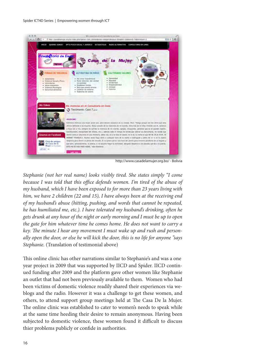

http://www.casadelamujer.org.bo/ - Bolivia

*Stephanie (not her real name) looks visibly tired. She states simply "I come*  because I was told that this office defends women. I'm tired of the abuse of *my husband, which I have been exposed to for more than 23 years living with him, we have 2 children (22 and 15), I have always been at the receiving end of my husband's abuse (hitting, pushing, and words that cannot be repeated, he has humiliated me, etc.). I have tolerated my husband's drinking, often he gets drunk at any hour of the night or early morning and I must be up to open the gate for him whatever time he comes home. He does not want to carry a key. The minute I hear any movement I must wake up and rush and personally open the door, or else he will kick the door, this is no life for anyone "says Stephanie.* (Translation of testimonial above)

This online clinic has other narrations similar to Stephanie's and was a one year project in 2009 that was supported by IICD and Spider. IICD continued funding after 2009 and the platform gave other women like Stephanie an outlet that had not been previously available to them. Women who had been victims of domestic violence readily shared their experiences via weblogs and the radio. However it was a challenge to get these women, and others, to attend support group meetings held at The Casa De la Mujer. The online clinic was established to cater to women's needs to speak while at the same time heeding their desire to remain anonymous. Having been subjected to domestic violence, these women found it difficult to discuss thier problems publicly or confide in authorities.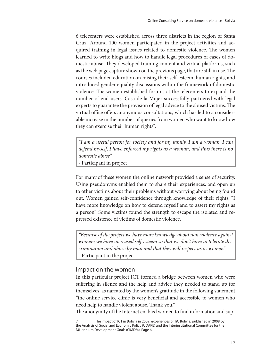6 telecenters were established across three districts in the region of Santa Cruz. Around 100 women participated in the project activities and acquired training in legal issues related to domestic violence. The women learned to write blogs and how to handle legal procedures of cases of domestic abuse. They developed training content and virtual platforms, such as the web page capture shown on the previous page, that are still in use. The courses included education on raising their self-esteem, human rights, and introduced gender equality discussions within the framework of domestic violence. The women established forums at the telecenters to expand the number of end users. Casa de la Mujer successfully partnered with legal experts to guarantee the provision of legal advice to the abused victims. The virtual office offers anonymous consultations, which has led to a considerable increase in the number of queries from women who want to know how they can exercise their human rights<sup>7</sup>.

*"I am a useful person for society and for my family, I am a woman, I can defend myself, I have enforced my rights as a woman, and thus there is no domestic abuse".*

- Participant in project

For many of these women the online network provided a sense of security. Using pseudonyms enabled them to share their experiences, and open up to other victims about their problems without worrying about being found out. Women gained self-confidence through knowledge of their rights, "I have more knowledge on how to defend myself and to assert my rights as a person". Some victims found the strength to escape the isolated and repressed existence of victims of domestic violence.

*"Because of the project we have more knowledge about non-violence against women; we have increased self-esteem so that we don't have to tolerate discrimination and abuse by man and that they will respect us as women".* - Participant in the project

#### Impact on the women

In this particular project ICT formed a bridge between women who were suffering in silence and the help and advice they needed to stand up for themselves, as narrated by the women's gratitude in the following statement "the online service clinic is very beneficial and accessible to women who need help to handle violent abuse. Thank you."

The anonymity of the Internet enabled women to find information and sup-

<sup>7</sup> The impact of ICT in Bolivia in 2009: experiences of TiC Bolivia, published in 2008 by the Analysis of Social and Economic Policy (UDAPE) and the Interinstitutional Committee for the Millennium Development Goals (CIMDM). Page 6.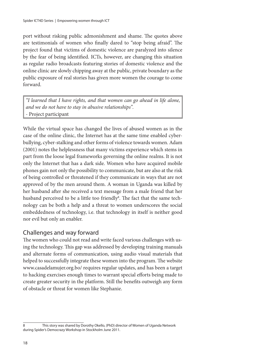port without risking public admonishment and shame. The quotes above are testimonials of women who finally dared to "stop being afraid". The project found that victims of domestic violence are paralyzed into silence by the fear of being identified. ICTs, however, are changing this situation as regular radio broadcasts featuring stories of domestic violence and the online clinic are slowly chipping away at the public, private boundary as the public exposure of real stories has given more women the courage to come forward.

*"I learned that I have rights, and that women can go ahead in life alone, and we do not have to stay in abusive relationships".*  - Project participant

While the virtual space has changed the lives of abused women as in the case of the online clinic, the Internet has at the same time enabled cyberbullying, cyber-stalking and other forms of violence towards women. Adam (2001) notes the helplessness that many victims experience which stems in part from the loose legal frameworks governing the online realms. It is not only the Internet that has a dark side. Women who have acquired mobile phones gain not only the possibility to communicate, but are also at the risk of being controlled or threatened if they communicate in ways that are not approved of by the men around them. A woman in Uganda was killed by her husband after she received a text message from a male friend that her husband perceived to be a little too friendly<sup>8</sup>. The fact that the same technology can be both a help and a threat to women underscores the social embeddedness of technology, i.e. that technology in itself is neither good nor evil but only an enabler.

#### Challenges and way forward

The women who could not read and write faced various challenges with using the technology. This gap was addressed by developing training manuals and alternate forms of communication, using audio visual materials that helped to successfully integrate these women into the program. The website www.casadelamujer.org.bo/ requires regular updates, and has been a target to hacking exercises enough times to warrant special efforts being made to create greater security in the platform. Still the benefits outweigh any form of obstacle or threat for women like Stephanie.

<sup>8</sup> This story was shared by Dorothy Okello, (PhD) director of Women of Uganda Network during Spider's Democrazy Workshop in Stockholm June 2011.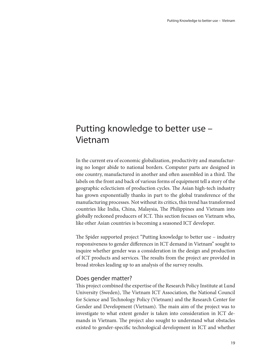### Putting knowledge to better use – Vietnam

In the current era of economic globalization, productivity and manufacturing no longer abide to national borders. Computer parts are designed in one country, manufactured in another and often assembled in a third. The labels on the front and back of various forms of equipment tell a story of the geographic eclecticism of production cycles. The Asian high-tech industry has grown exponentially thanks in part to the global transference of the manufacturing processes. Not without its critics, this trend has transformed countries like India, China, Malaysia, The Philippines and Vietnam into globally reckoned producers of ICT. This section focuses on Vietnam who, like other Asian countries is becoming a seasoned ICT developer.

The Spider supported project "Putting knowledge to better use – industry responsiveness to gender differences in ICT demand in Vietnam" sought to inquire whether gender was a consideration in the design and production of ICT products and services. The results from the project are provided in broad strokes leading up to an analysis of the survey results.

#### Does gender matter?

This project combined the expertise of the Research Policy Institute at Lund University (Sweden), The Vietnam ICT Association, the National Council for Science and Technology Policy (Vietnam) and the Research Center for Gender and Development (Vietnam). The main aim of the project was to investigate to what extent gender is taken into consideration in ICT demands in Vietnam. The project also sought to understand what obstacles existed to gender-specific technological development in ICT and whether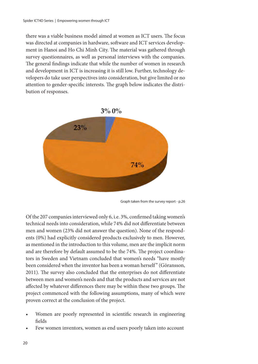there was a viable business model aimed at women as ICT users. The focus was directed at companies in hardware, software and ICT services development in Hanoi and Ho Chi Minh City. The material was gathered through survey questionnaires, as well as personal interviews with the companies. The general findings indicate that while the number of women in research and development in ICT is increasing it is still low. Further, technology developers do take user perspectives into consideration, but give limited or no attention to gender-specific interests. The graph below indicates the distribution of responses.



Graph taken from the survey report - p.26

Of the 207 companies interviewed only 6, i.e. 3%, confirmed taking women's technical needs into consideration, while 74% did not differentiate between men and women (23% did not answer the question). None of the respondents (0%) had explicitly considered products exclusively to men. However, as mentioned in the introduction to this volume, men are the implicit norm and are therefore by default assumed to be the 74%. The project coordinators in Sweden and Vietnam concluded that women's needs "have mostly been considered when the inventor has been a woman herself" (Göransson, 2011). The survey also concluded that the enterprises do not differentiate between men and women's needs and that the products and services are not affected by whatever differences there may be within these two groups. The project commenced with the following assumptions, many of which were proven correct at the conclusion of the project.

- Women are poorly represented in scientific research in engineering fields
- Few women inventors, women as end users poorly taken into account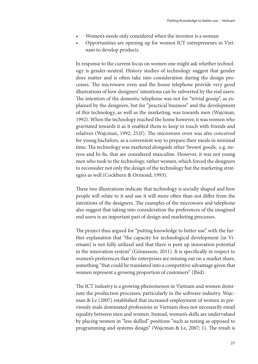- Women's needs only considered when the inventor is a woman
- Opportunities are opening up for women ICT entrepreneurs in Vietnam to develop products

In response to the current focus on women one might ask whether technology is gender-neutral. History studies of technology suggest that gender does matter and is often take into consideration during the design processes. The microwave oven and the house telephone provide very good illustrations of how designers' intentions can be subverted by the end users. The intention of the domestic telephone was not for "trivial gossip", as explained by the designers, but for "practical business" and the development of this technology, as well as the marketing, was towards men (Wajcman, 1992). When the technology reached the home however, it was women who gravitated towards it as it enabled them to keep in touch with friends and relatives (Wajcman, 1992, 252f). The microwave oven was also conceived for young bachelors, as a convenient way to prepare their meals in minimal time. The technology was marketed alongside other 'brown' goods, e.g. stereos and hi-fis, that are considered masculine. However, it was not young men who took to the technology, rather women, which forced the designers to reconsider not only the design of the technology but the marketing strategies as well (Cockburn & Ormond, 1993).

These two illustrations indicate that technology is socially shaped and how people will relate to it and use it will more often than not differ from the intentions of the designers. The examples of the microwave and telephone also suggest that taking into consideration the preferences of the imagined end users is an important part of design and marketing processes.

The project thus argued for "putting knowledge to better use" with the further explanation that "the capacity for technological development [in Vietnam] is not fully utilized and that there is pent up innovation potential in the innovation system" (Göransson, 2011). It is specifically in respect to women's preferences that the enterprises are missing out on a market share, something "that could be translated into a competitive advantage given that women represent a growing proportion of customers" (Ibid).

The ICT industry is a growing phenomenon in Vietnam and women dominate the production processes, particularly in the software industry. Wajcman & Le (2007) established that increased employment of women in previously male dominated professions in Vietnam does not necessarily entail equality between men and women. Instead, women's skills are undervalued by placing women in "less skilled" positions "such as testing as opposed to programming and systems design" (Wajcman & Le, 2007; 1). The result is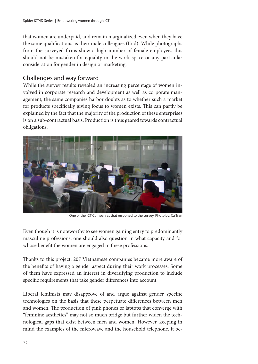that women are underpaid, and remain marginalized even when they have the same qualifications as their male colleagues (Ibid). While photographs from the surveyed firms show a high number of female employees this should not be mistaken for equality in the work space or any particular consideration for gender in design or marketing.

#### Challenges and way forward

While the survey results revealed an increasing percentage of women involved in corporate research and development as well as corporate management, the same companies harbor doubts as to whether such a market for products specifically giving focus to women exists. This can partly be explained by the fact that the majority of the production of these enterprises is on a sub-contractual basis. Production is thus geared towards contractual obligations.



One of the ICT Companies that responed to the survey. Photo by: Ca Tran

Even though it is noteworthy to see women gaining entry to predominantly masculine professions, one should also question in what capacity and for whose benefit the women are engaged in these professions.

Thanks to this project, 207 Vietnamese companies became more aware of the benefits of having a gender aspect during their work processes. Some of them have expressed an interest in diversifying production to include specific requirements that take gender differences into account.

Liberal feminists may disapprove of and argue against gender specific technologies on the basis that these perpetuate differences between men and women. The production of pink phones or laptops that converge with "feminine aesthetics" may not so much bridge but further widen the technological gaps that exist between men and women. However, keeping in mind the examples of the microwave and the household telephone, it be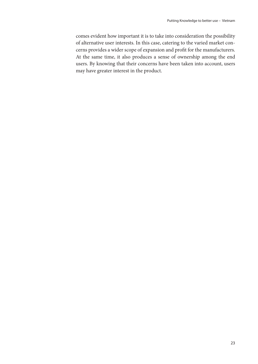comes evident how important it is to take into consideration the possibility of alternative user interests. In this case, catering to the varied market concerns provides a wider scope of expansion and profit for the manufacturers. At the same time, it also produces a sense of ownership among the end users. By knowing that their concerns have been taken into account, users may have greater interest in the product.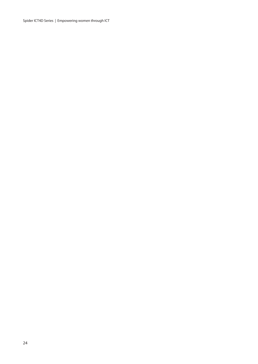Spider ICT4D Series | Empowering women through ICT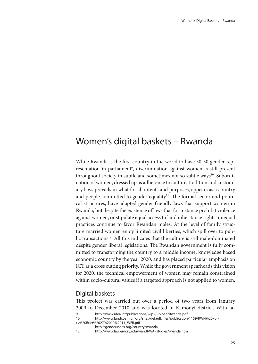### Women's digital baskets – Rwanda

While Rwanda is the first country in the world to have 50-50 gender representation in parliament<sup>9</sup>, discrimination against women is still present throughout society in subtle and sometimes not so subtle ways<sup>10</sup>. Subordination of women, dressed up as adherence to culture, tradition and customary laws prevails in what for all intents and purposes, appears as a country and people committed to gender equality<sup>11</sup>. The formal sector and political structures, have adapted gender-friendly laws that support women in Rwanda, but despite the existence of laws that for instance prohibit violence against women, or stipulate equal access to land inheritance rights, unequal practices continue to favor Rwandan males. At the level of family structure married women enjoy limited civil liberties, which spill over to public transactions<sup>12</sup>. All this indicates that the culture is still male-dominated despite gender liberal legislations. The Rwandan government is fully committed to transforming the country to a middle income, knowledge based economic country by the year 2020, and has placed particular emphasis on ICT as a cross cutting priority. While the government spearheads this vision for 2020, the technical empowerment of women may remain constrained within socio-cultural values if a targeted approach is not applied to women.

#### Digital baskets

This project was carried out over a period of two years from January 2009 to December 2010 and was located in Kamonyi district. With fa-

10 http://www.landcoalition.org/sites/default/files/publication/1159/RWN%20Poli-

<sup>9</sup> http://www.idea.int/publications/wip2/upload/Rwanda.pdf<br>10 http://www.landcoalition.org/sites/default/files/publication

cy%20Brief%2027%2010%2011\_WEB.pdf

<sup>11</sup> http://genderindex.org/country/rwanda<br>12 http://www.law.emory.edu/wandl/WAI-s

<sup>12</sup> http://www.law.emory.edu/wandl/WAl-studies/rwanda.htm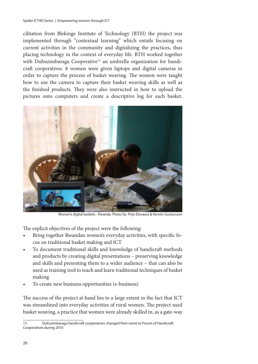cilitation from Blekinge Institute of Technology (BTH) the project was implemented through "contextual learning" which entails focusing on current activities in the community and digitalizing the practices, thus placing technology in the context of everyday life. BTH worked together with Duhuzimbaraga Cooperative<sup>13</sup> an umbrella organization for handicraft cooperatives. 8 women were given laptops and digital cameras in order to capture the process of basket weaving. The women were taught how to use the camera to capture their basket weaving skills as well as the finished products. They were also instructed in how to upload the pictures onto computers and create a descriptive log for each basket.



Women's digital baskets - Rwanda. Photo by: Pirjo Elovaara & Kerstin Gustavsson

The explicit objectives of the project were the following:

- Bring together Rwandan women's everyday activities, with specific focus on traditional basket making and ICT
- To document traditional skills and knowledge of handicraft methods and products by creating digital presentations – preserving knowledge and skills and presenting them to a wider audience – that can also be used as training tool to teach and learn traditional techniques of basket making
- To create new business opportunities (e-business)

The success of the project at hand lies to a large extent in the fact that ICT was streamlined into everyday activities of rural women. The project used basket weaving, a practice that women were already skilled in, as a gate-way

<sup>13</sup> Duhuzimbaraga handicraft cooperatives changed their name to Forum of Handicraft Cooperatives during 2010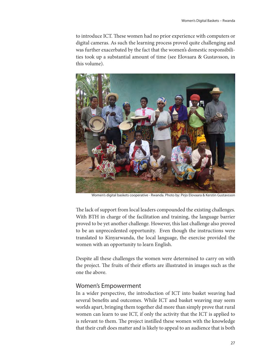to introduce ICT. These women had no prior experience with computers or digital cameras. As such the learning process proved quite challenging and was further exacerbated by the fact that the women's domestic responsibilities took up a substantial amount of time (see Elovaara & Gustavsson, in this volume).



Women's digital baskets cooperative - Rwanda. Photo by: Pirjo Elovaara & Kerstin Gustavsson

The lack of support from local leaders compounded the existing challenges. With BTH in charge of the facilitation and training, the language barrier proved to be yet another challenge. However, this last challenge also proved to be an unprecedented opportunity. Even though the instructions were translated to Kinyarwanda, the local language, the exercise provided the women with an opportunity to learn English.

Despite all these challenges the women were determined to carry on with the project. The fruits of their efforts are illustrated in images such as the one the above.

#### Women's Empowerment

In a wider perspective, the introduction of ICT into basket weaving had several benefits and outcomes. While ICT and basket weaving may seem worlds apart, bringing them together did more than simply prove that rural women can learn to use ICT, if only the activity that the ICT is applied to is relevant to them. The project instilled these women with the knowledge that their craft does matter and is likely to appeal to an audience that is both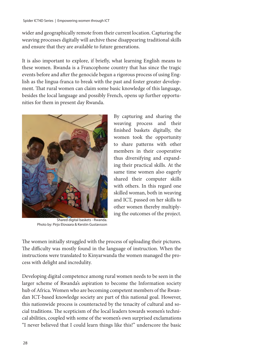wider and geographically remote from their current location. Capturing the weaving processes digitally will archive these disappearing traditional skills and ensure that they are available to future generations.

It is also important to explore, if briefly, what learning English means to these women. Rwanda is a Francophone country that has since the tragic events before and after the genocide begun a rigorous process of using English as the lingua-franca to break with the past and foster greater development. That rural women can claim some basic knowledge of this language, besides the local language and possibly French, opens up further opportunities for them in present day Rwanda.



Shared digital baskets - Rwanda. Photo by: Pirjo Elovaara & Kerstin Gustavsson

By capturing and sharing the weaving process and their finished baskets digitally, the women took the opportunity to share patterns with other members in their cooperative thus diversifying and expanding their practical skills. At the same time women also eagerly shared their computer skills with others. In this regard one skilled woman, both in weaving and ICT, passed on her skills to other women thereby multiplying the outcomes of the project.

The women initially struggled with the process of uploading their pictures. The difficulty was mostly found in the language of instruction. When the instructions were translated to Kinyarwanda the women managed the process with delight and incredulity.

Developing digital competence among rural women needs to be seen in the larger scheme of Rwanda's aspiration to become the Information society hub of Africa. Women who are becoming competent members of the Rwandan ICT-based knowledge society are part of this national goal. However, this nationwide process is counteracted by the tenacity of cultural and social traditions. The scepticism of the local leaders towards women's technical abilities, coupled with some of the women's own surprised exclamations "I never believed that I could learn things like this!" underscore the basic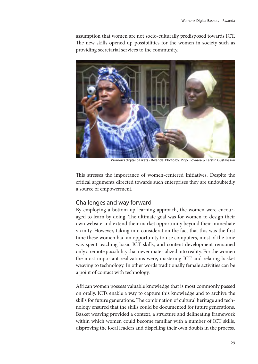assumption that women are not socio-culturally predisposed towards ICT. The new skills opened up possibilities for the women in society such as providing secretarial services to the community.



Women's digital baskets - Rwanda. Photo by: Pirjo Elovaara & Kerstin Gustavsson

This stresses the importance of women-centered initiatives. Despite the critical arguments directed towards such enterprises they are undoubtedly a source of empowerment.

#### Challenges and way forward

By employing a bottom up learning approach, the women were encouraged to learn by doing. The ultimate goal was for women to design their own website and extend their market opportunity beyond their immediate vicinity. However, taking into consideration the fact that this was the first time these women had an opportunity to use computers, most of the time was spent teaching basic ICT skills, and content development remained only a remote possibility that never materialized into reality. For the women the most important realizations were, mastering ICT and relating basket weaving to technology. In other words traditionally female activities can be a point of contact with technology.

African women possess valuable knowledge that is most commonly passed on orally. ICTs enable a way to capture this knowledge and to archive the skills for future generations. The combination of cultural heritage and technology ensured that the skills could be documented for future generations. Basket weaving provided a context, a structure and delineating framework within which women could become familiar with a number of ICT skills, disproving the local leaders and dispelling their own doubts in the process.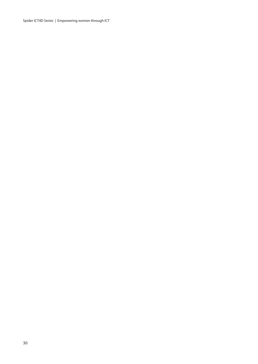Spider ICT4D Series | Empowering women through ICT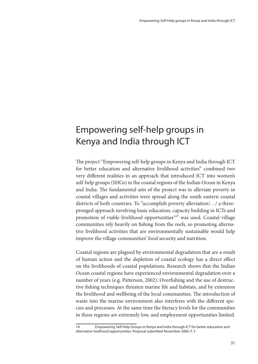# Empowering self-help groups in Kenya and India through ICT

The project "Empowering self-help groups in Kenya and India through ICT for better education and alternative livelihood activities" combined two very different realities in an approach that introduced ICT into women's self-help groups (SHGs) in the coastal regions of the Indian Ocean in Kenya and India. The fundamental aim of the project was to alleviate poverty in coastal villages and activities were spread along the south eastern coastal districts of both countries. To "accomplish poverty alleviation/…/ a threepronged approach involving basic education, capacity building in ICTs and promotion of viable livelihood opportunities<sup>14"</sup> was used. Coastal village communities rely heavily on fishing from the reefs, so promoting alternative livelihood activities that are environmentally sustainable would help improve the village communities' food security and nutrition.

Coastal regions are plagued by environmental degradation that are a result of human action and the depletion of coastal ecology has a direct effect on the livelihoods of coastal populations. Research shows that the Indian Ocean coastal regions have experienced environmental degradation over a number of years (e.g. Patterson, 2002). Overfishing and the use of destructive fishing techniques threaten marine life and habitats, and by extension the livelihood and wellbeing of the local communities. The introduction of waste into the marine environment also interferes with the different species and processes. At the same time the literacy levels for the communities in these regions are extremely low, and employment opportunities limited.

<sup>14</sup> Empowering Self Help Groups in Kenya and India through ICT for better education and alternative livelihood opportunities: Proposal submitted November 2006. P. 3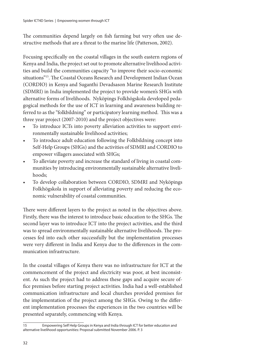The communities depend largely on fish farming but very often use destructive methods that are a threat to the marine life (Patterson, 2002).

Focusing specifically on the coastal villages in the south eastern regions of Kenya and India, the project set out to promote alternative livelihood activities and build the communities capacity "to improve their socio-economic situations"15. The Coastal Oceans Research and Development Indian Ocean (CORDIO) in Kenya and Suganthi Devadsason Marine Research Institute (SDMRI) in India implemented the project to provide women's SHGs with alternative forms of livelihoods. Nyköpings Folkhögskola developed pedagogical methods for the use of ICT in learning and awareness building referred to as the "folkbildning" or participatory learning method. This was a three year project (2007-2010) and the project objectives were:

- To introduce ICTs into poverty alleviation activities to support environmentally sustainable livelihood activities;
- To introduce adult education following the Folkbildning concept into Self-Help Groups (SHGs) and the activities of SDMRI and CORDIO to empower villagers associated with SHGs;
- To alleviate poverty and increase the standard of living in coastal communities by introducing environmentally sustainable alternative livelihoods;
- To develop collaboration between CORDIO, SDMRI and Nyköpings Folkhögskola in support of alleviating poverty and reducing the economic vulnerability of coastal communities.

There were different layers to the project as noted in the objectives above. Firstly, there was the interest to introduce basic education to the SHGs. The second layer was to introduce ICT into the project activities, and the third was to spread environmentally sustainable alternative livelihoods. The processes fed into each other successfully but the implementation processes were very different in India and Kenya due to the differences in the communication infrastructure.

In the coastal villages of Kenya there was no infrastructure for ICT at the commencement of the project and electricity was poor, at best inconsistent. As such the project had to address these gaps and acquire secure office premises before starting project activities. India had a well-established communication infrastructure and local churches provided premises for the implementation of the project among the SHGs. Owing to the different implementation processes the experiences in the two countries will be presented separately, commencing with Kenya.

<sup>15</sup> Empowering Self Help Groups in Kenya and India through ICT for better education and alternative livelihood opportunities: Proposal submitted November 2006. P. 3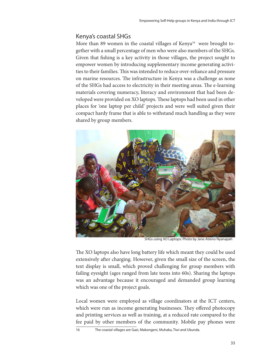# Kenya's coastal SHGs

More than 89 women in the coastal villages of Kenya<sup>16</sup> were brought together with a small percentage of men who were also members of the SHGs. Given that fishing is a key activity in those villages, the project sought to empower women by introducing supplementary income generating activities to their families. This was intended to reduce over-reliance and pressure on marine resources. The infrastructure in Kenya was a challenge as none of the SHGs had access to electricity in their meeting areas. The e-learning materials covering numeracy, literacy and environment that had been developed were provided on XO laptops. These laptops had been used in other places for 'one laptop per child' projects and were well suited given their compact hardy frame that is able to withstand much handling as they were shared by group members.



SHGs using XO Laptops: Photo by Jane Atieno Nyanapah

The XO laptops also have long battery life which meant they could be used extensively after charging. However, given the small size of the screen, the text display is small, which proved challenging for group members with failing eyesight (ages ranged from late teens into 60s). Sharing the laptops was an advantage because it encouraged and demanded group learning which was one of the project goals.

Local women were employed as village coordinators at the ICT centers, which were run as income generating businesses. They offered photocopy and printing services as well as training, at a reduced rate compared to the fee paid by other members of the community. Mobile pay phones were

<sup>16</sup> The coastal villages are Gazi, Makongeni, Muhaka, Tiwi and Ukunda.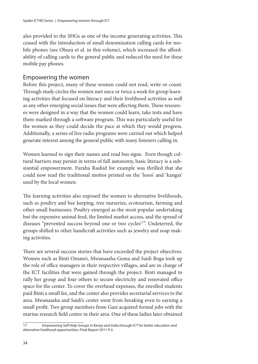also provided to the SHGs as one of the income generating activities. This ceased with the introduction of small denomination calling cards for mobile phones (see Obura et al. in this volume), which increased the affordability of calling cards to the general public and reduced the need for these mobile pay phones.

## Empowering the women

Before this project, many of these women could not read, write or count. Through study circles the women met once or twice a week for group learning activities that focused on literacy and their livelihood activities as well as any other emerging social issues that were affecting them. These resources were designed in a way that the women could learn, take tests and have them marked through a software program. This was particularly useful for the women as they could decide the pace at which they would progress. Additionally, a series of live radio programs were carried out which helped generate interest among the general public with many listeners calling in.

Women learned to sign their names and read bus signs. Even though cultural barriers may persist in terms of full autonomy, basic literacy is a substantial empowerment. Furaha Rashid for example was thrilled that she could now read the traditional mottos printed on the 'lesos' and 'kangas' used by the local women.

The learning activities also exposed the women to alternative livelihoods, such as poultry and bee keeping, tree nurseries, ecotourism, farming and other small businesses. Poultry emerged as the most popular undertaking but the expensive animal feed, the limited market access, and the spread of diseases "prevented success beyond one or two cycles<sup>17"</sup>. Undeterred, the groups shifted to other handicraft activities such as jewelry and soap making activities.

There are several success stories that have exceeded the project objectives. Women such as Binti Omanri, Mwanaasha Gema and Saidi Boga took up the role of office managers in their respective villages, and are in charge of the ICT facilities that were gained through the project. Binti managed to rally her group and four others to secure electricity and renovated office space for the center. To cover the overhead expenses, the enrolled students paid Binti a small fee, and the center also provides secretarial services to the area. Mwanaasha and Saidi's center went from breaking even to earning a small profit. Two group members from Gazi acquired formal jobs with the marine research field center in their area. One of these ladies later obtained

<sup>17</sup> Empowering Self Help Groups in Kenya and India through ICT for better education and alternative livelihood opportunities: Final Report 2011 P. 6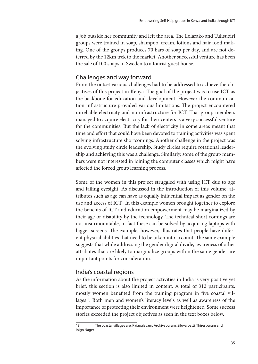a job outside her community and left the area. The Lolarako and Tulisubiri groups were trained in soap, shampoo, cream, lotions and hair food making. One of the groups produces 70 bars of soap per day, and are not deterred by the 12km trek to the market. Another successful venture has been the sale of 100 soaps in Sweden to a tourist guest house.

## Challenges and way forward

From the outset various challenges had to be addressed to achieve the objectives of this project in Kenya. The goal of the project was to use ICT as the backbone for education and development. However the communication infrastructure provided various limitations. The project encountered unreliable electricity and no infrastructure for ICT. That group members managed to acquire electricity for their centers is a very successful venture for the communities. But the lack of electricity in some areas meant that time and effort that could have been devoted to training activities was spent solving infrastructure shortcomings. Another challenge in the project was the evolving study circle leadership. Study circles require rotational leadership and achieving this was a challenge. Similarly, some of the group members were not interested in joining the computer classes which might have affected the forced group learning process.

Some of the women in this project struggled with using ICT due to age and failing eyesight. As discussed in the introduction of this volume, attributes such as age can have as equally influential impact as gender on the use and access of ICT. In this example women brought together to explore the benefits of ICT and education empowerment may be marginalized by their age or disability by the technology. The technical short comings are not insurmountable, in fact these can be solved by acquiring laptops with bigger screens. The example, however, illustrates that people have different physcial abilities that need to be taken into account. The same example suggests that while addressing the gender digital divide, awareness of other attributes that are likely to marginalize groups within the same gender are important points for consideration.

### India's coastal regions

As the information about the project activities in India is very positive yet brief, this section is also limited in content. A total of 312 participants, mostly women benefited from the training program in five coastal villages<sup>18</sup>. Both men and women's literacy levels as well as awareness of the importance of protecting their environment were heightened. Some success stories exceeded the project objectives as seen in the text boxes below.

<sup>18</sup> The coastal villages are: Rajapalayam, Arokiyapuram, Siluvaipatti, Thirespuram and Inigo Nager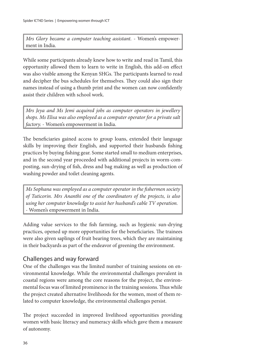*Mrs Glory became a computer teaching assistant.* - Women's empowerment in India.

While some participants already knew how to write and read in Tamil, this opportunity allowed them to learn to write in English, this add-on effect was also visible among the Kenyan SHGs. The participants learned to read and decipher the bus schedules for themselves. They could also sign their names instead of using a thumb print and the women can now confidently assist their children with school work.

*Mrs Jeya and Ms Jemi acquired jobs as computer operators in jewellery shops. Ms Elisa was also employed as a computer operator for a private salt factory.* - Women's empowerment in India.

The beneficiaries gained access to group loans, extended their language skills by improving their English, and supported their husbands fishing practices by buying fishing gear. Some started small to medium enterprises, and in the second year proceeded with additional projects in worm-composting, sun-drying of fish, dress and bag making as well as production of washing powder and toilet cleaning agents.

*Ms Sophana was employed as a computer operator in the fishermen society of Tuticorin. Mrs Ananthi one of the coordinators of the projects, is also using her computer knowledge to assist her husband's cable TV operation.* - Women's empowerment in India.

Adding value services to the fish farming, such as hygienic sun-drying practices, opened up more opportunities for the beneficiaries. The trainees were also given saplings of fruit bearing trees, which they are maintaining in their backyards as part of the endeavor of greening the environment.

# Challenges and way forward

One of the challenges was the limited number of training sessions on environmental knowledge. While the environmental challenges prevalent in coastal regions were among the core reasons for the project, the environmental focus was of limited prominence in the training sessions. Thus while the project created alternative livelihoods for the women, most of them related to computer knowledge, the environmental challenges persist.

The project succeeded in improved livelihood opportunities providing women with basic literacy and numeracy skills which gave them a measure of autonomy.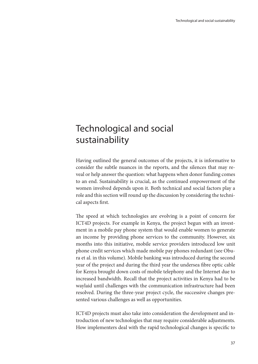# Technological and social sustainability

Having outlined the general outcomes of the projects, it is informative to consider the subtle nuances in the reports, and the silences that may reveal or help answer the question: what happens when donor funding comes to an end. Sustainability is crucial, as the continued empowerment of the women involved depends upon it. Both technical and social factors play a role and this section will round up the discussion by considering the technical aspects first.

The speed at which technologies are evolving is a point of concern for ICT4D projects. For example in Kenya, the project begun with an investment in a mobile pay phone system that would enable women to generate an income by providing phone services to the community. However, six months into this initiative, mobile service providers introduced low unit phone credit services which made mobile pay phones redundant (see Obura et al. in this volume). Mobile banking was introduced during the second year of the project and during the third year the undersea fibre optic cable for Kenya brought down costs of mobile telephony and the Internet due to increased bandwidth. Recall that the project activities in Kenya had to be waylaid until challenges with the communication infrastructure had been resolved. During the three-year project cycle, the successive changes presented various challenges as well as opportunities.

ICT4D projects must also take into consideration the development and introduction of new technologies that may require considerable adjustments. How implementers deal with the rapid technological changes is specific to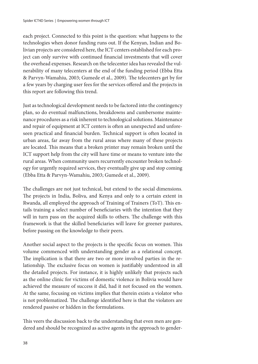each project. Connected to this point is the question: what happens to the technologies when donor funding runs out. If the Kenyan, Indian and Bolivian projects are considered here, the ICT centers established for each project can only survive with continued financial investments that will cover the overhead expenses. Research on the telecenter idea has revealed the vulnerability of many telecenters at the end of the funding period (Ebba Etta & Parvyn-Wamahiu, 2003; Gumede et al., 2009). The telecenters get by for a few years by charging user fees for the services offered and the projects in this report are following this trend.

Just as technological development needs to be factored into the contingency plan, so do eventual malfunctions, breakdowns and cumbersome maintenance procedures as a risk inherent to technological solutions. Maintenance and repair of equipment at ICT centers is often an unexpected and unforeseen practical and financial burden. Technical support is often located in urban areas, far away from the rural areas where many of these projects are located. This means that a broken printer may remain broken until the ICT support help from the city will have time or means to venture into the rural areas. When community users recurrently encounter broken technology for urgently required services, they eventually give up and stop coming (Ebba Etta & Parvyn-Wamahiu, 2003; Gumede et al., 2009).

The challenges are not just technical, but extend to the social dimensions. The projects in India, Boliva, and Kenya and only to a certain extent in Rwanda, all employed the approach of Training of Trainers (ToT). This entails training a select number of beneficiaries with the intention that they will in turn pass on the acquired skills to others. The challenge with this framework is that the skilled beneficiaries will leave for greener pastures, before passing on the knowledge to their peers.

Another social aspect to the projects is the specific focus on women. This volume commenced with understanding gender as a relational concept. The implication is that there are two or more involved parties in the relationship. The exclusive focus on women is justifiably understood in all the detailed projects. For instance, it is highly unlikely that projects such as the online clinic for victims of domestic violence in Bolivia would have achieved the measure of success it did, had it not focused on the women. At the same, focusing on victims implies that therein exists a violator who is not problematized. The challenge identified here is that the violators are rendered passive or hidden in the formulations.

This veers the discussion back to the understanding that even men are gendered and should be recognized as active agents in the approach to gender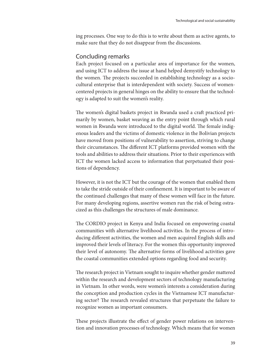ing processes. One way to do this is to write about them as active agents, to make sure that they do not disappear from the discussions.

## Concluding remarks

Each project focused on a particular area of importance for the women, and using ICT to address the issue at hand helped demystify technology to the women. The projects succeeded in establishing technology as a sociocultural enterprise that is interdependent with society. Success of womencentered projects in general hinges on the ability to ensure that the technology is adapted to suit the women's reality.

The women's digital baskets project in Rwanda used a craft practiced primarily by women, basket weaving as the entry point through which rural women in Rwanda were introduced to the digital world. The female indigenous leaders and the victims of domestic violence in the Bolivian projects have moved from positions of vulnerability to assertion, striving to change their circumstances. The different ICT platforms provided women with the tools and abilities to address their situations. Prior to their experiences with ICT the women lacked access to information that perpetuated their positions of dependency.

However, it is not the ICT but the courage of the women that enabled them to take the stride outside of their confinement. It is important to be aware of the continued challenges that many of these women will face in the future. For many developing regions, assertive women run the risk of being ostracized as this challenges the structures of male dominance.

The CORDIO project in Kenya and India focused on empowering coastal communities with alternative livelihood activities. In the process of introducing different activities, the women and men acquired English skills and improved their levels of literacy. For the women this opportunity improved their level of autonomy. The alternative forms of livelihood activities gave the coastal communities extended options regarding food and security.

The research project in Vietnam sought to inquire whether gender mattered within the research and development sectors of technology manufacturing in Vietnam. In other words, were women's interests a consideration during the conception and production cycles in the Vietnamese ICT manufacturing sector? The research revealed structures that perpetuate the failure to recognize women as important consumers.

These projects illustrate the effect of gender power relations on intervention and innovation processes of technology. Which means that for women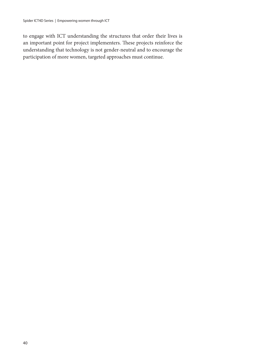to engage with ICT understanding the structures that order their lives is an important point for project implementers. These projects reinforce the understanding that technology is not gender-neutral and to encourage the participation of more women, targeted approaches must continue.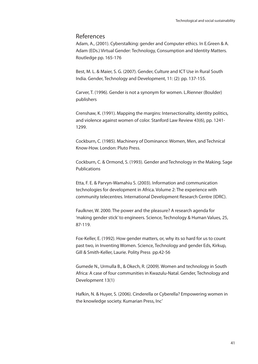### References

Adam, A., (2001). Cyberstalking: gender and Computer ethics. In E.Green & A. Adam (EDs.) Virtual Gender: Technology, Consumption and Identity Matters. Routledge pp. 165-176

Best, M. L. & Maier, S. G. (2007). Gender, Culture and ICT Use in Rural South India. Gender, Technology and Development, 11: (2): pp. 137-155.

Carver, T. (1996). Gender is not a synonym for women. L.Rienner (Boulder) publishers

Crenshaw, K. (1991). Mapping the margins: Intersectionality, identity politics, and violence against women of color. Stanford Law Review 43(6), pp. 1241- 1299.

Cockburn, C. (1985). Machinery of Dominance: Women, Men, and Technical Know-How. London: Pluto Press.

Cockburn, C. & Ormond, S. (1993). Gender and Technology in the Making. Sage Publications

Etta, F. E. & Parvyn-Wamahiu S. (2003). Information and communication technologies for development in Africa. Volume 2: The experience with community telecentres. International Development Research Centre (IDRC).

Faulkner, W. 2000. The power and the pleasure? A research agenda for 'making gender stick' to engineers. Science, Technology & Human Values, 25, 87-119.

Fox-Keller, E. (1992). How gender matters, or, why its so hard for us to count past two, in Inventing Women. Science, Technology and gender Eds, Kirkup, Gill & Smith-Keller, Laurie. Polity Press pp.42-56

Gumede N., Urmulla B., & Okech, R. (2009). Women and technology in South Africa: A case of four communities in Kwazulu-Natal. Gender, Technology and Development 13(1)

Hafkin, N. & Huyer, S. (2006). Cinderella or Cyberella? Empowering women in the knowledge society. Kumarian Press, Inc'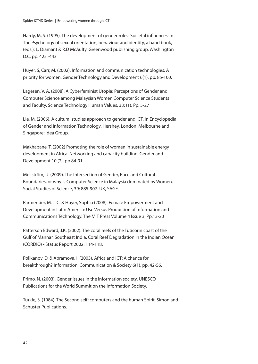Hardy, M, S. (1995). The development of gender roles: Societal influences: in The Psychology of sexual orientation, behaviour and identity, a hand book, (eds.): L. Diamant & R.D McAulty. Greenwood publishing group, Washington D.C. pp. 425 -443

Huyer, S, Carr, M. (2002). Information and communication technologies: A priority for women. Gender Technology and Development 6(1), pp. 85-100.

Lagesen, V. A. (2008). A Cyberfeminist Utopia: Perceptions of Gender and Computer Science among Malaysian Women Computer Science Students and Faculty. Science Technology Human Values, 33: (1). Pp. 5-27

Lie, M. (2006). A cultural studies approach to gender and ICT. In Encyclopedia of Gender and Information Technology. Hershey, London, Melbourne and Singapore: Idea Group.

Makhabane, T. (2002) Promoting the role of women in sustainable energy development in Africa: Networking and capacity building. Gender and Development 10 (2), pp 84-91.

Mellström, U. (2009). The Intersection of Gender, Race and Cultural Boundaries, or why is Computer Science in Malaysia dominated by Women. Social Studies of Science, 39: 885-907. UK, SAGE.

Parmentier, M. J. C. & Huyer, Sophia (2008). Female Empowerment and Development in Latin America: Use Versus Production of Information and Communications Technology. The MIT Press Volume 4 Issue 3. Pp.13-20

Patterson Edward, J.K. (2002). The coral reefs of the Tuticorin coast of the Gulf of Mannar, Southeast India. Coral Reef Degradation in the Indian Ocean (CORDIO) - Status Report 2002: 114-118.

Polikanov, D. & Abramova, I. (2003). Africa and ICT: A chance for breakthrough? Information, Communication & Society 6(1), pp. 42-56.

Primo, N. (2003). Gender issues in the information society. UNESCO Publications for the World Summit on the Information Society.

Turkle, S. (1984). The Second self: computers and the human Spirit. Simon and Schuster Publications.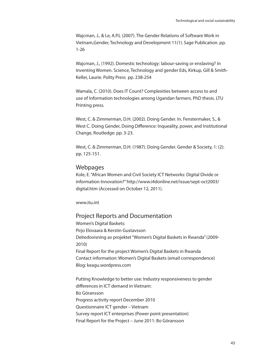Wajcman, J., & Le, A.P.L (2007). The Gender Relations of Software Work in Vietnam,Gender, Technology and Development 11(1). Sage Publication. pp. 1-26

Wajcman, J., (1992). Domestic technology: labour-saving or enslaving? In Inventing Women. Science, Technology and gender Eds, Kirkup, Gill & Smith-Keller, Laurie. Polity Press pp. 238-254

Wamala, C. (2010). Does IT Count? Complexities between access to and use of Information technologies among Ugandan farmers. PhD thesis. LTU Printing press.

West, C. & Zimmerman, D.H. (2002). Doing Gender. In. Fenstermaker, S., & West C. Doing Gender, Doing Difference: Inqueality, power, and Institutional Change, Routledge: pp. 3-23.

West, C. & Zimmerman, D.H. (1987). Doing Gender. Gender & Society, 1: (2): pp. 125-151.

#### **Webpages**

Kole, E. "African Women and Civil Society ICT Networks: Digital Divide or information Innovation?" http://www.i4donline.net/issue/sept-oct2003/ digital.htm (Accessed on October 12, 2011).

www.itu.int

## Project Reports and Documentation

Women's Digital Baskets: Pirjo Elovaara & Kerstin Gustavsson Delredovisning av projektet "Women's Digital Baskets in Rwanda" (2009- 2010) Final Report for the project Women's Digital Baskets in Rwanda Contact information: Women's Digital Baskets (email correspondence) Blog: keagu.wordpress.com

Putting Knowledge to better use: Industry responsiveness to gender differences in ICT demand in Vietnam: Bo Göransson Progress activity report December 2010 Questionnaire ICT gender – Vietnam Survey report ICT enterprises (Power point presentation) Final Report for the Project – June 2011: Bo Göransson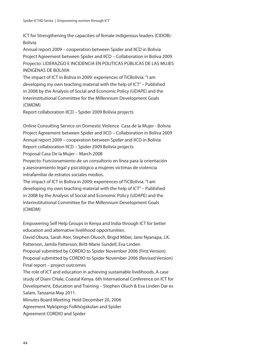ICT for Strengthening the capacities of female indigenous leaders (CIDOB)- Bolivia

Annual report 2009 – cooperation between Spider and IICD in Bolivia Project Agreement between Spider and IICD – Collaboration in Boliva 2009 Proyecto: LIDERAZGO E INCIDENCIA EN POLITICAS PÚBLICAS DE LAS MUJES INDIGENAS DE BOLIVIA

The impact of ICT in Boliva in 2009: experiences of TiCBolivia: "I am developing my own teaching material with the help of ICT" – Published in 2008 by the Analysis of Social and Economic Policy (UDAPE) and the Interinstitutional Committee for the Millennium Development Goals (CIMDM)

Report collaboration IICD – Spider 2009 Bolivia projects

Online Consulting Service on Domestic Violence Casa de la Mujer - Bolivia Project Agreement between Spider and IICD – Collaboration in Boliva 2009 Annual report 2009 – cooperation between Spider and IICD in Bolivia Report collaboration IICD – Spider 2009 Bolivia projects Proposal Casa De la Mujer – March 2008

Proyecto: Funcionamiento de un consultorio en línea para la orientación y asesoramiento legal y psicológico a mujeres víctimas de violencia intrafamiliar de estratos sociales medios.

The impact of ICT in Boliva in 2009: experiences of TiCBolivia: "I am developing my own teaching material with the help of ICT" – Published in 2008 by the Analysis of Social and Economic Policy (UDAPE) and the Interinstitutional Committee for the Millennium Development Goals (CIMDM)

Empowering Self Help Groups in Kenya and India through ICT for better education and alternative livelihood opportunities:

David Obura, Sarah Ater, Stephen Oluoch, Brigid Mibei, Jane Nyanapa, J.K. Patterson, Jamila Patterson, Britt-Marie Sundell, Eva Linden

Proposal submitted by CORDIO to Spider November 2006 (First Version) Proposal submitted by CORDIO to Spider November 2006 (Revised Version) Final report – project outcomes

The role of ICT and education in achieving sustainable livelihoods. A case study of Diani CHale, Coastal Kenya. 6th International Conference on ICT for Development, Education and Training – Stephen Oluch & Eva Linden Dar es Salam, Tanzania May 2011.

Minutes Board Meeting: Held December 20, 2006 Agreement Nyköpings Folkhögskolan and Spider Agreement CORDIO and Spider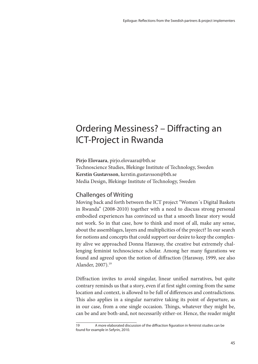# Ordering Messiness? – Diffracting an ICT-Project in Rwanda

**Pirjo Elovaara**, pirjo.elovaara@bth.se Technoscience Studies, Blekinge Institute of Technology, Sweden **Kerstin Gustavsson**, kerstin.gustavsson@bth.se Media Design, Blekinge Institute of Technology, Sweden

#### Challenges of Writing

Moving back and forth between the ICT project "Women´s Digital Baskets in Rwanda" (2008-2010) together with a need to discuss strong personal embodied experiences has convinced us that a smooth linear story would not work. So in that case, how to think and most of all, make any sense, about the assemblages, layers and multiplicities of the project? In our search for notions and concepts that could support our desire to keep the complexity alive we approached Donna Haraway, the creative but extremely challenging feminist technoscience scholar. Among her many figurations we found and agreed upon the notion of diffraction (Haraway, 1999, see also Alander, 2007).19

Diffraction invites to avoid singular, linear unified narratives, but quite contrary reminds us that a story, even if at first sight coming from the same location and context, is allowed to be full of differences and contradictions. This also applies in a singular narrative taking its point of departure, as in our case, from a one single occasion. Things, whatever they might be, can be and are both-and, not necessarily either-or. Hence, the reader might

<sup>19</sup> A more elaborated discussion of the diffraction figuration in feminist studies can be found for example in Sefyrin, 2010.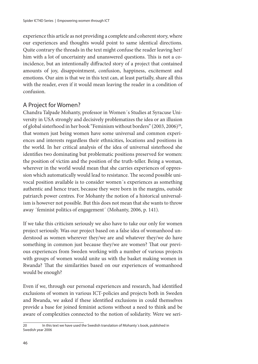experience this article as not providing a complete and coherent story, where our experiences and thoughts would point to same identical directions. Quite contrary the threads in the text might confuse the reader leaving her/ him with a lot of uncertainty and unanswered questions. This is not a coincidence, but an intentionally diffracted story of a project that contained amounts of joy, disappointment, confusion, happiness, excitement and emotions. Our aim is that we in this text can, at least partially, share all this with the reader, even if it would mean leaving the reader in a condition of confusion.

### A Project for Women?

Chandra Talpade Mohanty, professor in Women´s Studies at Syracuse University in USA strongly and decisively problematizes the idea or an illusion of global sisterhood in her book "Feminism without borders" (2003, 2006)<sup>20</sup>, that women just being women have some universal and common experiences and interests regardless their ethnicities, locations and positions in the world. In her critical analysis of the idea of universal sisterhood she identifies two dominating but problematic positions preserved for women: the position of victim and the position of the truth-teller. Being a woman, wherever in the world would mean that she carries experiences of oppression which automatically would lead to resistance. The second possible univocal position available is to consider women´s experiences as something authentic and hence truer, because they were born in the margins, outside patriarch power centres. For Mohanty the notion of a historical universalism is however not possible. But this does not mean that she wants to throw away 'feminist politics of engagement' (Mohanty, 2006, p. 141).

If we take this criticism seriously we also have to take our only for women project seriously. Was our project based on a false idea of womanhood understood as women wherever they/we are and whatever they/we do have something in common just because they/we are women? That our previous experiences from Sweden working with a number of various projects with groups of women would unite us with the basket making women in Rwanda? That the similarities based on our experiences of womanhood would be enough?

Even if we, through our personal experiences and research, had identified exclusions of women in various ICT-policies and projects both in Sweden and Rwanda, we asked if these identified exclusions in could themselves provide a base for joined feminist actions without a need to think and be aware of complexities connected to the notion of solidarity. Were we seri-

<sup>20</sup> In this text we have used the Swedish translation of Mohanty´s book, published in Swedish year 2006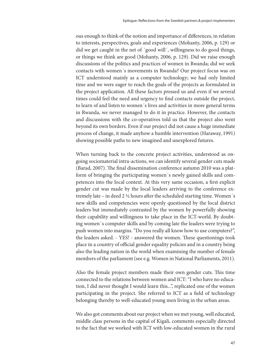ous enough to think of the notion and importance of differences, in relation to interests, perspectives, goals and experiences (Mohanty, 2006, p. 129) or did we get caught in the net of ´good will´, willingness to do good things, or things we think are good (Mohanty, 2006, p. 129). Did we raise enough discussions of the politics and practices of women in Rwanda; did we seek contacts with women´s movements in Rwanda? Our project focus was on ICT understood mainly as a computer technology; we had only limited time and we were eager to reach the goals of the projects as formulated in the project application. All these factors pressed us and even if we several times could feel the need and urgency to find contacts outside the project, to learn of and listen to women´s lives and activities in more general terms in Rwanda, we never managed to do it in practice. However, the contacts and discussions with the co-operatives told us that the project also went beyond its own borders. Even if our project did not cause a huge immediate process of change, it made anyhow a humble intervention (Haraway, 1991) showing possible paths to new imagined and unexplored futures.

When turning back to the concrete project activities, understood as ongoing sociomaterial intra-actions, we can identify several gender cuts made (Barad, 2007). The final dissemination conference autumn 2010 was a platform of bringing the participating women´s newly gained skills and competences into the local context. At this very same occasion, a first explicit gender cut was made by the local leaders arriving to the conference extremely late – in deed 2 ½ hours after the scheduled starting time. Women´s new skills and competencies were openly questioned by the local district leaders but immediately contrasted by the women by powerfully showing their capability and willingness to take place in the ICT-world. By doubting women´s computer skills and by coming late the leaders were trying to push women into margins. "Do you really all know how to use computers?", the leaders asked. - YES! - answered the women. These questionings took place in a country of official gender equality policies and in a country being also the leading nation in the world when examining the number of female members of the parliament (see e.g. Women in National Parliaments, 2011).

Also the female project members made their own gender cuts. This time connected to the relations between women and ICT: "I who have no education, I did never thought I would learn this...", replicated one of the women participating in the project. She referred to ICT as a field of technology belonging thereby to well-educated young men living in the urban areas.

We also got comments about our project when we met young, well educated, middle class persons in the capital of Kigali, comments especially directed to the fact that we worked with ICT with low-educated women in the rural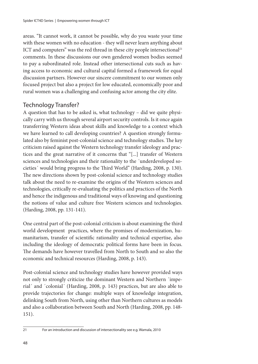areas. "It cannot work, it cannot be possible, why do you waste your time with these women with no education - they will never learn anything about ICT and computers" was the red thread in these city people intersectional<sup>21</sup> comments. In these discussions our own gendered women bodies seemed to pay a subordinated role. Instead other intersectional cuts such as having access to economic and cultural capital formed a framework for equal discussion partners. However our sincere commitment to our women only focused project but also a project for low educated, economically poor and rural women was a challenging and confusing actor among the city elite.

# Technology Transfer?

A question that has to be asked is, what technology – did we quite physically carry with us through several airport security controls. Is it once again transferring Western ideas about skills and knowledge to a context which we have learned to call developing countries? A question strongly formulated also by feminist post-colonial science and technology studies. The key criticism raised against the Western technology transfer ideology and practices and the great narrative of it concerns that "[...] transfer of Western sciences and technologies and their rationality to the 'underdeveloped societies´ would bring progress to the Third World" (Harding, 2008, p. 130). The new directions shown by post-colonial science and technology studies talk about the need to re-examine the origins of the Western sciences and technologies, critically re-evaluating the politics and practices of the North and hence the indigenous and traditional ways of knowing and questioning the notions of value and culture free Western sciences and technologies. (Harding, 2008, pp. 131-141).

One central part of the post-colonial criticism is about examining the third world development practices, where the promises of modernization, humanitarism, transfer of scientific rationality and technical expertise, also including the ideology of democratic political forms have been in focus. The demands have however travelled from North to South and so also the economic and technical resources (Harding, 2008, p. 143).

Post-colonial science and technology studies have however provided ways not only to strongly criticize the dominant Western and Northern ´imperial´ and ´colonial´ (Harding, 2008, p. 143) practices, but are also able to provide trajectories for change: multiple ways of knowledge integration, delinking South from North, using other than Northern cultures as models and also a collaboration between South and North (Harding, 2008, pp. 148- 151).

<sup>21</sup> For an introduction and discussion of intersectionality see e.g. Wamala, 2010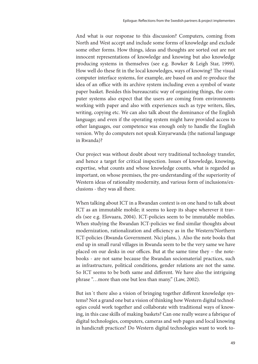And what is our response to this discussion? Computers, coming from North and West accept and include some forms of knowledge and exclude some other forms. How things, ideas and thoughts are sorted out are not innocent representations of knowledge and knowing but also knowledge producing systems in themselves (see e.g. Bowker & Leigh Star, 1999). How well do these fit in the local knowledges, ways of knowing? The visual computer interface systems, for example, are based on and re-produce the idea of an office with its archive system including even a symbol of waste paper basket. Besides this bureaucratic way of organizing things, the computer systems also expect that the users are coming from environments working with paper and also with experiences such as type writers, files, writing, copying etc. We can also talk about the dominance of the English language; and even if the operating system might have provided access to other languages, our competence was enough only to handle the English version. Why do computers not speak Kinyarwanda (the national language in Rwanda)?

Our project was without doubt about very traditional technology transfer, and hence a target for critical inspection. Issues of knowledge, knowing, expertise, what counts and whose knowledge counts, what is regarded as important, on whose premises, the pre-understanding of the superiority of Western ideas of rationality modernity, and various form of inclusions/exclusions - they was all there.

When talking about ICT in a Rwandan context is on one hand to talk about ICT as an immutable mobile; it seems to keep its shape wherever it travels (see e.g. Elovaara, 2004). ICT-policies seem to be immutable mobiles. When studying the Rwandan ICT-policies we find similar thoughts about modernization, rationalization and efficiency as in the Western/Northern ICT-policies (Rwanda Government. Nici plans, ). Also the note books that end up in small rural villages in Rwanda seem to be the very same we have placed on our desks in our offices. But at the same time they – the notebooks - are not same because the Rwandan sociomaterial practices, such as infrastructure, political conditions, gender relations are not the same. So ICT seems to be both same and different. We have also the intriguing phrase "…more than one but less than many." (Law, 2002).

But isn´t there also a vision of bringing together different knowledge systems? Not a grand one but a vision of thinking how Western digital technologies could work together and collaborate with traditional ways of knowing, in this case skills of making baskets? Can one really weave a fabrique of digital technologies, computers, cameras and web pages and local knowing in handicraft practices? Do Western digital technologies want to work to-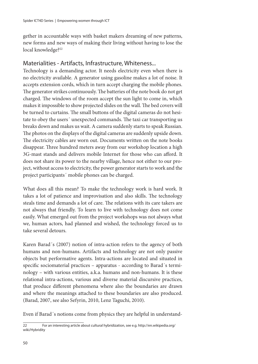gether in accountable ways with basket makers dreaming of new patterns, new forms and new ways of making their living without having to lose the local knowledge?<sup>22</sup>

# Materialities - Artifacts, Infrastructure, Whiteness...

Technology is a demanding actor. It needs electricity even when there is no electricity available. A generator using gasoline makes a lot of noise. It accepts extension cords, which in turn accept charging the mobile phones. The generator strikes continuously. The batteries of the note book do not get charged. The windows of the room accept the sun light to come in, which makes it impossible to show projected slides on the wall. The bed covers will be turned to curtains. The small buttons of the digital cameras do not hesitate to obey the users´ unexpected commands. The taxi car transporting us breaks down and makes us wait. A camera suddenly starts to speak Russian. The photos on the displays of the digital cameras are suddenly upside down. The electricity cables are worn out. Documents written on the note books disappear. Three hundred meters away from our workshop location a high 3G-mast stands and delivers mobile Internet for those who can afford. It does not share its power to the nearby village, hence not either to our project, without access to electricity, the power generator starts to work and the project participants´ mobile phones can be charged.

What does all this mean? To make the technology work is hard work. It takes a lot of patience and improvisation and also skills. The technology steals time and demands a lot of care. The relations with its care takers are not always that friendly. To learn to live with technology does not come easily. What emerged out from the project workshops was not always what we, human actors, had planned and wished, the technology forced us to take several detours.

Karen Barad´s (2007) notion of intra-action refers to the agency of both humans and non-humans. Artifacts and technology are not only passive objects but performative agents. Intra-actions are located and situated in specific sociomaterial practices – apparatus - according to Barad´s terminology – with various entities, a.k.a. humans and non-humans. It is these relational intra-actions, various and diverse material discursive practices, that produce different phenomena where also the boundaries are drawn and where the meanings attached to these boundaries are also produced. (Barad, 2007, see also Sefyrin, 2010, Lenz Taguchi, 2010).

Even if Barad´s notions come from physics they are helpful in understand-

<sup>22</sup> For an interesting article about cultural hybridization, see e.g. http://en.wikipedia.org/ wiki/Hybridity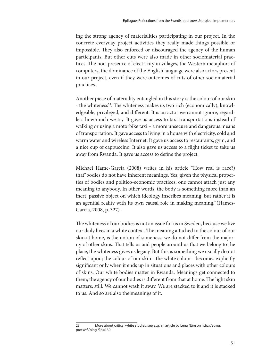ing the strong agency of materialities participating in our project. In the concrete everyday project activities they really made things possible or impossible. They also enforced or discouraged the agency of the human participants. But other cuts were also made in other sociomaterial practices. The non-presence of electricity in villages, the Western metaphors of computers, the dominance of the English language were also actors present in our project, even if they were outcomes of cuts of other sociomaterial practices.

Another piece of materiality entangled in this story is the colour of our skin - the whiteness<sup>23</sup>. The whiteness makes us two rich (economically), knowledgeable, privileged, and different. It is an actor we cannot ignore, regardless how much we try. It gave us access to taxi transportations instead of walking or using a motorbike taxi – a more unsecure and dangerous means of transportation. It gave access to living in a house with electricity, cold and warm water and wireless Internet. It gave us access to restaurants, gym, and a nice cup of cappuccino. It also gave us access to a flight ticket to take us away from Rwanda. It gave us access to define the project.

Michael Hame-García (2008) writes in his article "How real is race?) that"bodies do not have inherent meanings. Yes, given the physical properties of bodies and politico-economic practices, one cannot attach just any meaning to anybody. In other words, the body is something more than an inert, passive object on which ideology inscribes meaning, but rather it is an agential reality with its own causal role in making meaning."(Hames-García, 2008, p. 327).

The whiteness of our bodies is not an issue for us in Sweden, because we live our daily lives in a white context. The meaning attached to the colour of our skin at home, is the notion of sameness, we do not differ from the majority of other skins. That tells us and people around us that we belong to the place, the whiteness gives us legacy. But this is something we usually do not reflect upon; the colour of our skin - the white colour - becomes explicitly significant only when it ends up in situations and places with other colours of skins. Our white bodies matter in Rwanda. Meanings get connected to them; the agency of our bodies is different from that at home. The light skin matters, still. We cannot wash it away. We are stacked to it and it is stacked to us. And so are also the meanings of it.

<sup>23</sup> More about critical white studies, see e..g. an article by Lena Näre on http://etmu. protsv.fi/blogi/?p=130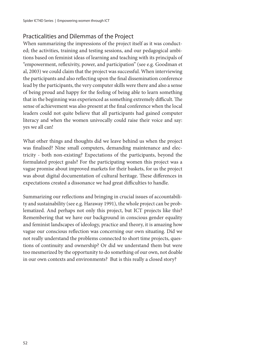# Practicalities and Dilemmas of the Project

When summarizing the impressions of the project itself as it was conducted; the activities, training and testing sessions, and our pedagogical ambitions based on feminist ideas of learning and teaching with its principals of "empowerment, reflexivity, power, and participation" (see e.g. Goodman et al, 2003) we could claim that the project was successful. When interviewing the participants and also reflecting upon the final dissemination conference lead by the participants, the very computer skills were there and also a sense of being proud and happy for the feeling of being able to learn something that in the beginning was experienced as something extremely difficult. The sense of achievement was also present at the final conference when the local leaders could not quite believe that all participants had gained computer literacy and when the women univocally could raise their voice and say: yes we all can!

What other things and thoughts did we leave behind us when the project was finalised? Nine small computers, demanding maintenance and electricity - both non-existing? Expectations of the participants, beyond the formulated project goals? For the participating women this project was a vague promise about improved markets for their baskets, for us the project was about digital documentation of cultural heritage. These differences in expectations created a dissonance we had great difficulties to handle.

Summarizing our reflections and bringing in crucial issues of accountability and sustainability (see e.g. Haraway 1991), the whole project can be problematized. And perhaps not only this project, but ICT projects like this? Remembering that we have our background in conscious gender equality and feminist landscapes of ideology, practice and theory, it is amazing how vague our conscious reflection was concerning our own situating. Did we not really understand the problems connected to short time projects, questions of continuity and ownership? Or did we understand them but were too mesmerized by the opportunity to do something of our own, not doable in our own contexts and environments? But is this really a closed story?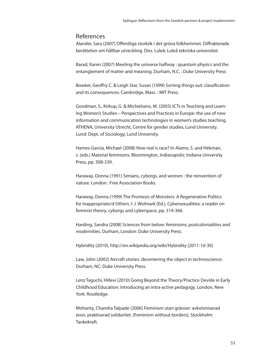#### References

Alander, Sara (2007) Offentliga storkök i det gröna folkhemmet. Diffrakterade berättelser om hållbar utveckling. Diss. Luleå: Luleå tekniska universitet.

Barad, Karen (2007) Meeting the universe halfway : quantum physics and the entanglement of matter and meaning. Durham, N.C. ; Duke University Press

Bowker, Geoffry C. & Leigh Star, Susan (1999) Sorting things out: classification and its consequences. Cambridge, Mass. : MIT Press.

Goodman, S., Kirkup, G. & Michielsens, M. (2003) ICTs in Teaching and Learning Women's Studies – Perspectives and Practices in Europe: the use of new information and communication technologies in women's studies teaching. ATHENA, University Utrecht, Centre for gender studies, Lund University. Lund: Dept. of Sociology, Lund University.

Hames-García, Michael (2008) How real is race? In Alamo, S. and Hekman, s. (eds.) Material feminisms. Bloomington, Indianapolis: Indiana University Press, pp. 308-339.

Haraway, Donna (1991) Simians, cyborgs, and women : the reinvention of nature. London : Free Association Books.

Haraway, Donna (1999) The Promesis of Monsters: A Regenerative Politics for Inappropriate/d Others. I: J. Wolmark (Ed.), Cybersexualities: a reader on feminist theory, cyborgs and cyberspace, pp. 314-366.

Harding, Sandra (2008) Sciences from below: feminisms, postcolonialities and modernities. Durham, London: Duke University Press.

Hybridity (2010), http://en.wikipedia.org/wiki/Hybridity [2011-10-30]

Law, John (2002) Aircraft stories: decentering the object in technoscience. Durham, NC: Duke University Press.

Lenz Taguchi, Hillevi (2010) Going Beyond the Theory/Practice Devide in Early Childhood Education: Introducing an intra-active pedagogy. London, New York: Routledge.

Mohanty, Chandra Talpade (2006) Feminism utan gränser: avkoloniserad teori, praktiserad solidaritet. [Feminism without borders]. Stockholm: Tankekraft.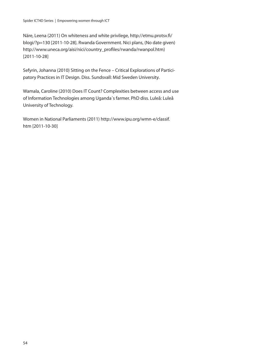Näre, Leena (2011) On whiteness and white privilege, http://etmu.protsv.fi/ blogi/?p=130 [2011-10-28]. Rwanda Government. Nici plans, (No date given) http://www.uneca.org/aisi/nici/country\_profiles/rwanda/rwanpol.htm) [2011-10-28]

Sefyrin, Johanna (2010) Sitting on the Fence – Critical Explorations of Participatory Practices in IT Design. Diss. Sundsvall: Mid Sweden University.

Wamala, Caroline (2010) Does IT Count? Complexities between access and use of Information Technologies among Uganda´s farmer. PhD diss. Luleå: Luleå University of Technology.

Women in National Parliaments (2011) http://www.ipu.org/wmn-e/classif. htm [2011-10-30]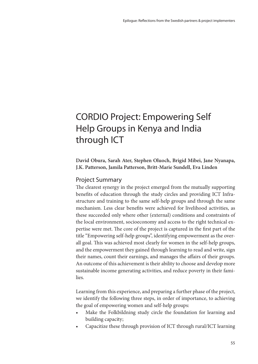# CORDIO Project: Empowering Self Help Groups in Kenya and India through ICT

**David Obura, Sarah Ater, Stephen Oluoch, Brigid Mibei, Jane Nyanapa, J.K. Patterson, Jamila Patterson, Britt-Marie Sundell, Eva Linden**

## Project Summary

The clearest synergy in the project emerged from the mutually supporting benefits of education through the study circles and providing ICT Infrastructure and training to the same self-help groups and through the same mechanism. Less clear benefits were achieved for livelihood activities, as these succeeded only where other (external) conditions and constraints of the local environment, socioeconomy and access to the right technical expertise were met. The core of the project is captured in the first part of the title "Empowering self-help groups", identifying empowerment as the overall goal. This was achieved most clearly for women in the self-help groups, and the empowerment they gained through learning to read and write, sign their names, count their earnings, and manages the affairs of their groups. An outcome of this achievement is their ability to choose and develop more sustainable income generating activities, and reduce poverty in their families.

Learning from this experience, and preparing a further phase of the project, we identify the following three steps, in order of importance, to achieving the goal of empowering women and self-help groups:

- Make the Folkbildning study circle the foundation for learning and building capacity;
- Capacitize these through provision of ICT through rural/ICT learning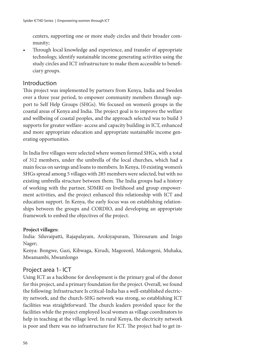centers, supporting one or more study circles and their broader community;

Through local knowledge and experience, and transfer of appropriate technology, identify sustainable income generating activities using the study circles and ICT infrastructure to make them accessible to beneficiary groups.

### Introduction

This project was implemented by partners from Kenya, India and Sweden over a three year period, to empower community members through support to Self Help Groups (SHGs). We focused on women's groups in the coastal areas of Kenya and India. The project goal is to improve the welfare and wellbeing of coastal peoples, and the approach selected was to build 3 supports for greater welfare- access and capacity building in ICT, enhanced and more appropriate education and appropriate sustainable income generating opportunities.

In India five villages were selected where women formed SHGs, with a total of 312 members, under the umbrella of the local churches, which had a main focus on savings and loans to members. In Kenya, 10 existing women's SHGs spread among 5 villages with 285 members were selected, but with no existing umbrella structure between them. The India groups had a history of working with the partner, SDMRI on livelihood and group empowerment activities, and the project enhanced this relationship with ICT and education support. In Kenya, the early focus was on establishing relationships between the groups and CORDIO, and developing an appropriate framework to embed the objectives of the project.

#### **Project villages:**

India: Siluvaipatti, Rajapalayam, Arokiyapuram, Thiresuram and Inigo Nager;

Kenya: Bongwe, Gazi, Kibwaga, Kirudi, Magozonl, Makongeni, Muhaka, Mwamambi, Mwamlongo

# Project area 1- ICT

Using ICT as a backbone for development is the primary goal of the donor for this project, and a primary foundation for the project. Overall, we found the following: Infrastructure Is critical-India has a well-established electricity network, and the church-SHG network was strong, so establishing ICT facilities was straightforward. The church leaders provided space for the facilities while the project employed local women as village coordinators to help in teaching at the village level. In rural Kenya, the electricity network is poor and there was no infrastructure for ICT. The project had to get in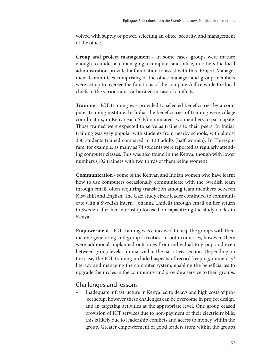volved with supply of power, selecting an office, security, and management of the office.

**Group and project management** - In some cases, groups were mature enough to undertake managing a computer and office, in others the local administration provided a foundation to assist with this. Project Management Committees comprising of the office manager and group members were set up to oversee the functions of the computer/office while the local chiefs in the various areas arbitrated in case of conflicts.

**Training** - ICT training was provided to selected beneficiaries by a computer training institute. In India, the beneficiaries of training were village coordinators, in Kenya each SHG nominated two members to participate. Those trained were expected to serve as trainers to their peers. In lndia1 training was very popular with students from nearby schools, with almost 350 students trained compared to 130 adults (half women). In Thirespuram, for example, as many as 74 students were reported as regularly attending computer classes. This was also found in the Kenya, though with lower numbers (102 trainees with two thirds of them being women)

**Communication** - some of the Kenyan and Indian women who have learnt how to use computers occasionally communicate with the Swedish team through email, often requiring translation among team members between Kiswahili and English. The Gazi study circle leader continued to communicate with a Swedish intern (Johanna Thidell) through email on her return to Sweden after her internship focused on capacitizing the study circles in Kenya.

**Empowerment** - ICT training was conceived to help the groups with their income generating and group activities. In both countries, however, there were additional unplanned outcomes from individual to group and even between-group levels summarized in the narratives section. Depending on the case, the ICT training included aspects of record keeping, numeracy/ literacy and managing the computer system, enabling the beneficiaries to upgrade their roles in the community and provide a service to their groups.

### Challenges and lessons

Inadequate infrastructure in Kenya led to delays and high costs of project setup; however these challenges can be overcome in project design, and in targeting activities at the appropriate level. One group ceased provision of ICT services due to non-payment of their electricity bills; this is likely due to leadership conflicts and access to money within the group. Greater empowerment of good leaders from within the groups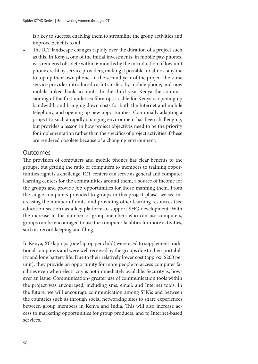is a key to success, enabling them to streamline the group activities and improve benefits to all

The ICT landscape changes rapidly over the duration of a project such as this. In Kenya, one of the initial investments, in mobile pay-phones, was rendered obsolete within 6 months by the introduction of low unit phone credit by service providers, making it possible for almost anyone to top up their own phone. In the second year of the project the same service provider introduced cash transfers by mobile phone, and now mobile-linked bank accounts. In the third year Kenya the commissioning of the first undersea fibre-optic cable for Kenya is opening up bandwidth and bringing down costs for both the Internet and mobile telephony, and opening up new opportunities. Continually adapting a project to such a rapidly changing environment has been challenging, but provides a lesson in how project objectives need to be the priority for implementation rather than the specifics of project activities if these are rendered obsolete because of a changing environment.

#### **Outcomes**

The provision of computers and mobile phones has clear benefits to the groups, but getting the ratio of computers to members to training opportunities right is a challenge. ICT centers can serve as general and computer learning centers for the communities around them, a source of income for the groups and provide job opportunities for those manning them. From the single computers provided to groups in this project phase, we see increasing the number of units, and providing other learning resources (see education section) as a key platform to support SHG development. With the increase in the number of group members who can use computers, groups can be encouraged to use the computer facilities for more activities, such as record keeping and filing.

In Kenya, XO laptops (one laptop per child) were used to supplement traditional computers and were well received by the groups due to their portability and long battery life. Due to their relatively lower cost (approx. \$200 per unit), they provide an opportunity for more people to access computer facilities even when electricity is not immediately available. Security is, however an issue. Communication- greater use of communication tools within the project was encouraged, including sms, email, and Internet tools. In the future, we will encourage communication among SHGs and between the countries such as through social networking sites to share experiences between group members in Kenya and India. This will also increase access to marketing opportunities for group products, and to Internet-based services.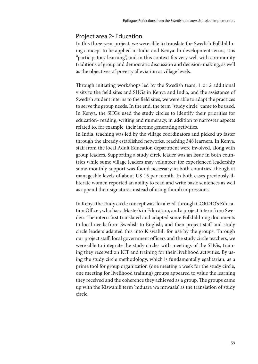#### Project area 2- Education

In this three-year project, we were able to translate the Swedish Folkbildning concept to be applied in India and Kenya. ln development terms, it is "participatory learning", and in this context fits very well with community traditions of group and democratic discussion and decision-making, as well as the objectives of poverty alleviation at village levels.

Through initiating workshops led by the Swedish team, 1 or 2 additional visits to the field sites and SHGs in Kenya and India, and the assistance of Swedish student interns to the field sites, we were able to adapt the practices to serve the group needs. In the end, the term "study circle" came to be used. In Kenya, the SHGs used the study circles to identify their priorities for education- reading, writing and numeracy, in addition to narrower aspects related to, for example, their income generating activities.

In India, teaching was led by the village coordinators and picked up faster through the already established networks, reaching 348 learners. In Kenya, staff from the local Adult Education department were involved, along with group leaders. Supporting a study circle leader was an issue in both countries while some village leaders may volunteer, for experienced leadership some monthly support was found necessary in both countries, though at manageable levels of about U\$ 15 per month. In both cases previously illiterate women reported an ability to read and write basic sentences as well as append their signatures instead of using thumb impressions.

In Kenya the study circle concept was 'localized' through CORDIO's Education Officer, who has a Master's in Education, and a project intern from Sweden. The intern first translated and adapted some Folkbildning documents to local needs from Swedish to English, and then project staff and study circle leaders adapted this into Kiswahili for use by the groups. Through our project staff, local government officers and the study circle teachers, we were able to integrate the study circles with meetings of the SHGs, training they received on ICT and training for their livelihood activities. By using the study circle methodology, which is fundamentally egalitarian, as a prime tool for group organization (one meeting a week for the study circle, one meeting for livelihood training) groups appeared to value the learning they received and the coherence they achieved as a group. The groups came up with the Kiswahili term 'mduara wa mtwaala' as the translation of study circle.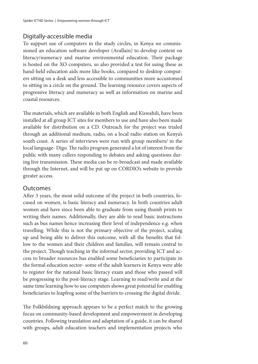## Digitally-accessible media

To support use of computers in the study circles, in Kenya we commissioned an education software developer (Avallain) to develop content on literacy/numeracy and marine environmental education. Their package is hosted on the XO computers, so also provided a test for using these as hand-held education aids more like books, compared to desktop computers sitting on a desk and less accessible to communities more accustomed to sitting in a circle on the ground. The learning resource covers aspects of progressive literacy and numeracy as well as information on marine and coastal resources.

The materials, which are available in both English and Kiswahili, have been installed at all group ICT sites for members to use and have also been made available for distribution on a CD. Outreach for the project was trialed through an additional medium, radio, on a local radio station on Kenya's south coast. A series of interviews were run with group members/ in the local language- Digo. The radio program generated a lot of interest from the public with many callers responding to debates and asking questions during live transmission. These media can be re-broadcast and made available through the Internet, and will be put up on CORDIO's website to provide greater access.

#### Outcomes

After 3 years, the most solid outcome of the project in both countries, focused on women, is basic literacy and numeracy. In both countries adult women and have since been able to graduate from using thumb prints to writing their names. Additionally, they are able to read basic instructions such as bus names hence increasing their level of independence e.g. when travelling. While this is not the primary objective of the project, scaling up and being able to deliver this outcome, with all the benefits that follow to the women and their children and families, will remain central to the project. Though teaching in the informal sector, providing ICT and access to broader resources has enabled some beneficiaries to participate in the formal education sector- some of the adult learners in Kenya were able to register for the national basic literacy exam and those who passed will be progressing to the post-literacy stage. Learning to read/write and at the same time learning how to use computers shows great potential for enabling beneficiaries to leapfrog some of the barriers to crossing the digital divide.

The Folkbildning approach appears to be a perfect match to the growing focus on community-based development and empowerment in developing countries. Following translation and adaptation of a guide, it can be shared with groups, adult education teachers and implementation projects who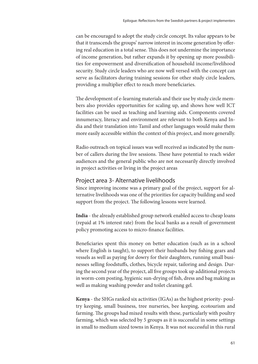can be encouraged to adopt the study circle concept. Its value appears to be that it transcends the groups' narrow interest in income generation by offering real education in a total sense. This does not undermine the importance of income generation, but rather expands it by opening up more possibilities for empowerment and diversification of household income/livelihood security. Study circle leaders who are now well versed with the concept can serve as facilitators during training sessions for other study circle leaders, providing a multiplier effect to reach more beneficiaries.

The development of e-learning materials and their use by study circle members also provides opportunities for scaling up, and shows how well ICT facilities can be used as teaching and learning aids. Components covered innumeracy, literacy and environment are relevant to both Kenya and India and their translation into Tamil and other languages would make them more easily accessible within the context of this project, and more generally.

Radio outreach on topical issues was well received as indicated by the number of callers during the live sessions. These have potential to reach wider audiences and the general public who are not necessarily directly involved in project activities or living in the project areas

#### Project area 3- Alternative livelihoods

Since improving income was a primary goal of the project, support for alternative livelihoods was one of the priorities for capacity building and seed support from the project. The following lessons were learned.

**India** - the already established group network enabled access to cheap loans (repaid at 1% interest rate) from the local banks as a result of government policy promoting access to micro-finance facilities.

Beneficiaries spent this money on better education (such as in a school where English is taught), to support their husbands buy fishing gears and vessels as well as paying for dowry for their daughters, running small businesses selling foodstuffs, clothes, bicycle repair, tailoring and design. During the second year of the project, all five groups took up additional projects in worm-com posting, hygienic sun-drying of fish, dress and bag making as well as making washing powder and toilet cleaning gel.

**Kenya** - the SHGs ranked six activities (IGAs) as the highest priority- poultry keeping, small business, tree nurseries, bee keeping, ecotourism and farming. The groups had mixed results with these, particularly with poultry farming, which was selected by 5 groups as it is successful in some settings in small to medium sized towns in Kenya. It was not successful in this rural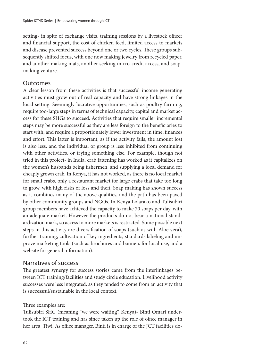setting- in spite of exchange visits, training sessions by a livestock officer and financial support, the cost of chicken feed, limited access to markets and disease prevented success beyond one or two cycles. These groups subsequently shifted focus, with one now making jewelry from recycled paper, and another making mats, another seeking micro-credit access, and soapmaking venture.

#### Outcomes

A clear lesson from these activities is that successful income generating activities must grow out of real capacity and have strong linkages in the local setting. Seemingly lucrative opportunities, such as poultry farming, require too-large steps in terms of technical capacity, capital and market access for these SHGs to succeed. Activities that require smaller incremental steps may be more successful as they are less foreign to the beneficiaries to start with, and require a proportionately lower investment in time, finances and effort. This latter is important, as if the activity fails, the amount lost is also less, and the individual or group is less inhibited from continuing with other activities, or trying something else. For example, though not tried in this project- in India, crab fattening has worked as it capitalizes on the women's husbands being fishermen, and supplying a local demand for cheaply grown crab. In Kenya, it has not worked, as there is no local market for small crabs, only a restaurant market for large crabs that take too long to grow, with high risks of loss and theft. Soap making has shown success as it combines many of the above qualities, and the path has been paved by other community groups and NGOs. In Kenya Lolarako and Tulisubiri group members have achieved the capacity to make 70 soaps per day, with an adequate market. However the products do not bear a national standardization mark, so access to more markets is restricted. Some possible next steps in this activity are diversification of soaps (such as with Aloe vera), further training, cultivation of key ingredients, standards labeling and improve marketing tools (such as brochures and banners for local use, and a website for general information).

#### Narratives of success

The greatest synergy for success stories came from the interlinkages between ICT training/facilities and study circle education. Livelihood activity successes were less integrated, as they tended to come from an activity that is successful/sustainable in the local context.

#### Three examples are:

Tulisubiri SHG (meaning "we were waiting", Kenya)- Binti Omari undertook the ICT training and has since taken up the role of office manager in her area, Tiwi. As office manager, Binti is in charge of the JCT facilities do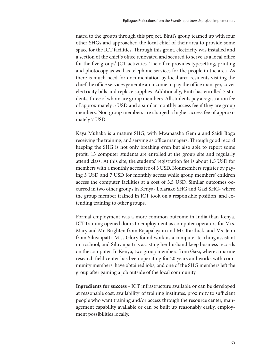nated to the groups through this project. Binti's group teamed up with four other SHGs and approached the local chief of their area to provide some space for the ICT facilities. Through this grant, electricity was installed and a section of the chief 's office renovated and secured to serve as a local office for the five groups' JCT activities. The office provides typesetting, printing and photocopy as well as telephone services for the people in the area. As there is much need for documentation by local area residents visiting the chief the office services generate an income to pay the office manager, cover electricity bills and replace supplies. Additionally, Binti has enrolled 7 students, three of whom are group members. All students pay a registration fee of approximately 3 USD and a similar monthly access fee if they are group members. Non group members are charged a higher access fee of approximately 7 USD.

Kaya Muhaka is a mature SHG, with Mwanaasha Gem a and Saidi Boga receiving the training, and serving as office managers. Through good record keeping the SHG is not only breaking even but also able to report some profit. 13 computer students are enrolled at the group site and regularly attend class. At this site, the students' registration fee is about 1.5 USD for members with a monthly access fee of 3 USD. Nonmembers register by paying 3 USD and 7 USD for monthly access while group members' children access the computer facilities at a cost of 3.5 USD. Similar outcomes occurred in two other groups in Kenya- Lolarako SHG and Gazi SHG- where the group member trained in ICT took on a responsible position, and extending training to other groups.

Formal employment was a more common outcome in India than Kenya. ICT training opened doors to employment as computer operators for Mrs. Mary and Mr. Brighten from Rajapalayam and Mr. Karthick and Ms. Jemi from Siluvaipatti. Miss Glory found work as a computer teaching assistant in a school, and Siluvaipatti is assisting her husband keep business records on the computer. In Kenya, two group members from Gazi, where a marine research field center has been operating for 20 years and works with community members, have obtained jobs, and one of the SHG members left the group after gaining a job outside of the local community.

**Ingredients for success** - ICT infrastructure available or can be developed at reasonable cost, availability 'of training institutes, proximity to sufficient people who want training and/or access through the resource center, management capability available or can be built up reasonably easily, employment possibilities locally.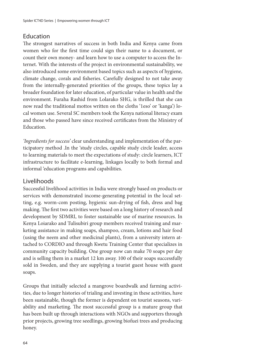## Education

The strongest narratives of success in both India and Kenya came from women who for the first time could sign their name to a document, or count their own money- and learn how to use a computer to access the Internet. With the interests of the project in environmental sustainability, we also introduced some environment based topics such as aspects of hygiene, climate change, corals and fisheries. Carefully designed to not take away from the internally-generated priorities of the groups, these topics lay a broader foundation for later education, of particular value in health and the environment. Furaha Rashid from Lolarako SHG, is thrilled that she can now read the traditional mottos written on the cloths '1eso' or 'kanga') local women use. Several SC members took the Kenya national literacy exam and those who passed have since received certificates from the Ministry of Education.

*'Ingredients for success'* clear understanding and implementation of the participatory method .In the 'study circles, capable study circle leader, access to learning materials to meet the expectations of study: circle learners, ICT infrastructure to facilitate e-learning, linkages locally to both formal and informal 'education programs and capabilities.

#### Livelihoods

Successful livelihood activities in India were strongly based on products or services with demonstrated income-generating potential in the local setting, e.g. worm-com posting, hygienic sun-drying of fish, dress and bag making. The first two activities were based on a long history of research and development by SDMRI, to foster sustainable use of marine resources. In Kenya Loiarako and Tulisubiri group members received training and marketing assistance in making soaps, shampoo, cream, lotions and hair food (using the neem and other medicinal plants), from a university intern attached to CORDIO and through Kwetu Training Center that specializes in community capacity building. One group now can make 70 soaps per day and is selling them in a market 12 km away. 100 of their soaps successfully sold in Sweden, and they are supplying a tourist guest house with guest soaps.

Groups that initially selected a mangrove boardwalk and farming activities, due to longer histories of trialing and investing in these activities, have been sustainable, though the former is dependent on tourist seasons, variability and marketing. The most successful group is a mature group that has been built up through interactions with NGOs and supporters through prior projects, growing tree seedlings, growing biofuei trees and producing honey.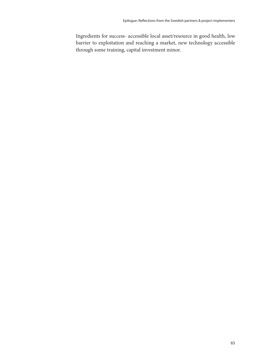Ingredients for success- accessible local asset/resource in good health, low barrier to exploitation and reaching a market, new technology accessible through some training, capital investment minor.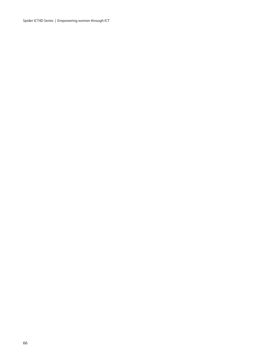Spider ICT4D Series | Empowering women through ICT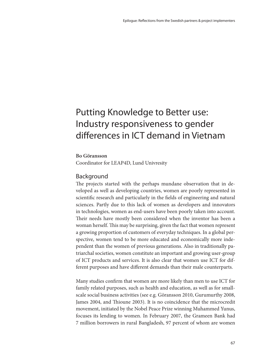# Putting Knowledge to Better use: Industry responsiveness to gender differences in ICT demand in Vietnam

#### **Bo Göransson**

Coordinator for LEAP4D, Lund Univresity

#### Background

The projects started with the perhaps mundane observation that in developed as well as developing countries, women are poorly represented in scientific research and particularly in the fields of engineering and natural sciences. Partly due to this lack of women as developers and innovators in technologies, women as end-users have been poorly taken into account. Their needs have mostly been considered when the inventor has been a woman herself. This may be surprising, given the fact that women represent a growing proportion of customers of everyday techniques. In a global perspective, women tend to be more educated and economically more independent than the women of previous generations. Also in traditionally patriarchal societies, women constitute an important and growing user-group of ICT products and services. It is also clear that women use ICT for different purposes and have different demands than their male counterparts.

Many studies confirm that women are more likely than men to use ICT for family related purposes, such as health and education, as well as for smallscale social business activities (see e.g. Göransson 2010, Gurumurthy 2008, James 2004, and Thioune 2003). It is no coincidence that the microcredit movement, initiated by the Nobel Peace Prize winning Muhammed Yunus, focuses its lending to women. In February 2007, the Grameen Bank had 7 million borrowers in rural Bangladesh, 97 percent of whom are women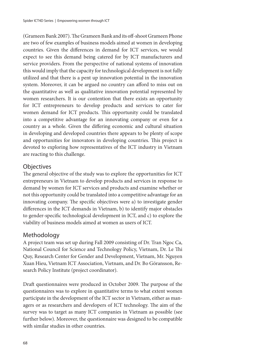(Grameen Bank 2007). The Grameen Bank and its off-shoot Grameen Phone are two of few examples of business models aimed at women in developing countries. Given the differences in demand for ICT services, we would expect to see this demand being catered for by ICT manufacturers and service providers. From the perspective of national systems of innovation this would imply that the capacity for technological development is not fully utilized and that there is a pent up innovation potential in the innovation system. Moreover, it can be argued no country can afford to miss out on the quantitative as well as qualitative innovation potential represented by women researchers. It is our contention that there exists an opportunity for ICT entrepreneurs to develop products and services to cater for women demand for ICT products. This opportunity could be translated into a competitive advantage for an innovating company or even for a country as a whole. Given the differing economic and cultural situation in developing and developed countries there appears to be plenty of scope and opportunities for innovators in developing countries. This project is devoted to exploring how representatives of the ICT industry in Vietnam are reacting to this challenge.

## **Objectives**

The general objective of the study was to explore the opportunities for ICT entrepreneurs in Vietnam to develop products and services in response to demand by women for ICT services and products and examine whether or not this opportunity could be translated into a competitive advantage for an innovating company. The specific objectives were a) to investigate gender differences in the ICT demands in Vietnam, b) to identify major obstacles to gender-specific technological development in ICT, and c) to explore the viability of business models aimed at women as users of ICT.

## Methodology

A project team was set up during Fall 2009 consisting of Dr. Tran Ngoc Ca, National Council for Science and Technology Policy, Vietnam, Dr. Le Thi Quy, Research Center for Gender and Development, Vietnam, Mr. Nguyen Xuan Hieu, Vietnam ICT Association, Vietnam, and Dr. Bo Göransson, Research Policy Institute (project coordinator).

Draft questionnaires were produced in October 2009. The purpose of the questionnaires was to explore in quantitative terms to what extent women participate in the development of the ICT sector in Vietnam, either as managers or as researchers and developers of ICT technology. The aim of the survey was to target as many ICT companies in Vietnam as possible (see further below). Moreover, the questionnaire was designed to be compatible with similar studies in other countries.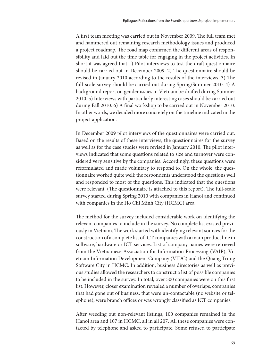A first team meeting was carried out in November 2009. The full team met and hammered out remaining research methodology issues and produced a project roadmap. The road map confirmed the different areas of responsibility and laid out the time table for engaging in the project activities. In short it was agreed that 1) Pilot interviews to test the draft questionnaire should be carried out in December 2009. 2) The questionnaire should be revised in January 2010 according to the results of the interviews. 3) The full-scale survey should be carried out during Spring/Summer 2010. 4) A background report on gender issues in Vietnam be drafted during Summer 2010. 5) Interviews with particularly interesting cases should be carried out during Fall 2010. 6) A final workshop to be carried out in November 2010. In other words, we decided more concretely on the timeline indicated in the project application.

In December 2009 pilot interviews of the questionnaires were carried out. Based on the results of these interviews, the questionnaires for the survey as well as for the case studies were revised in January 2010. The pilot interviews indicated that some questions related to size and turnover were considered very sensitive by the companies. Accordingly, these questions were reformulated and made voluntary to respond to. On the whole, the questionnaire worked quite well; the respondents understood the questions well and responded to most of the questions. This indicated that the questions were relevant. (The questionnaire is attached to this report). The full-scale survey started during Spring 2010 with companies in Hanoi and continued with companies in the Ho Chi Minh City (HCMC) area.

The method for the survey included considerable work on identifying the relevant companies to include in the survey. No complete list existed previously in Vietnam. The work started with identifying relevant sources for the construction of a complete list of ICT companies with a main product line in software, hardware or ICT services. List of company names were retrieved from the Vietnamese Association for Information Processing (VAIP), Vietnam Information Development Company (VIDC) and the Quang Trung Software City in HCMC. In addition, business directories as well as previous studies allowed the researchers to construct a list of possible companies to be included in the survey. In total, over 500 companies were on this first list. However, closer examination revealed a number of overlaps, companies that had gone out of business, that were un-contactable (no website or telephone), were branch offices or was wrongly classified as ICT companies.

After weeding out non-relevant listings, 100 companies remained in the Hanoi area and 107 in HCMC, all in all 207. All these companies were contacted by telephone and asked to participate. Some refused to participate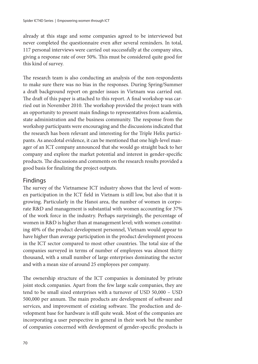already at this stage and some companies agreed to be interviewed but never completed the questionnaire even after several reminders. In total, 117 personal interviews were carried out successfully at the company sites, giving a response rate of over 50%. This must be considered quite good for this kind of survey.

The research team is also conducting an analysis of the non-respondents to make sure there was no bias in the responses. During Spring/Summer a draft background report on gender issues in Vietnam was carried out. The draft of this paper is attached to this report. A final workshop was carried out in November 2010. The workshop provided the project team with an opportunity to present main findings to representatives from academia, state administration and the business community. The response from the workshop participants were encouraging and the discussions indicated that the research has been relevant and interesting for the Triple Helix participants. As anecdotal evidence, it can be mentioned that one high-level manager of an ICT company announced that she would go straight back to her company and explore the market potential and interest in gender-specific products. The discussions and comments on the research results provided a good basis for finalizing the project outputs.

## Findings

The survey of the Vietnamese ICT industry shows that the level of women participation in the ICT field in Vietnam is still low, but also that it is growing. Particularly in the Hanoi area, the number of women in corporate R&D and management is substantial with women accounting for 37% of the work force in the industry. Perhaps surprisingly, the percentage of women in R&D is higher than at management level; with women constituting 40% of the product development personnel, Vietnam would appear to have higher than average participation in the product development process in the ICT sector compared to most other countries. The total size of the companies surveyed in terms of number of employees was almost thirty thousand, with a small number of large enterprises dominating the sector and with a mean size of around 25 employees per company.

The ownership structure of the ICT companies is dominated by private joint stock companies. Apart from the few large scale companies, they are tend to be small sized enterprises with a turnover of USD 50,000 – USD 500,000 per annum. The main products are development of software and services, and improvement of existing software. The production and development base for hardware is still quite weak. Most of the companies are incorporating a user perspective in general in their work but the number of companies concerned with development of gender-specific products is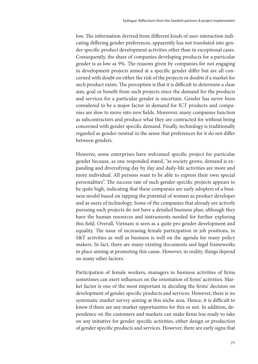low. The information derived from different kinds of user-interaction indicating differing gender preferences, apparently has not translated into gender specific product development activities other than in exceptional cases. Consequently, the share of companies developing products for a particular gender is as low as 9%. The reasons given by companies for not engaging in development projects aimed at a specific gender differ but are all concerned with doubt on either the risk of the projects or doubts if a market for such product exists. The perception is that it is difficult to determine a clear aim, goal or benefit from such projects since the demand for the products and services for a particular gender is uncertain. Gender has never been considered to be a major factor in demand for ICT products and companies are slow to move into new fields. Moreover, many companies function as subcontractors and produce what they are contracted for without being concerned with gender specific demand. Finally, technology is traditionally regarded as gender-neutral in the sense that preferences for it do not differ between genders.

However, some enterprises have welcomed specific project for particular gender because, as one responded stated, "as society grows, demand is expanding and diversifying day by day and daily-life activities are more and more individual. All persons want to be able to express their own special personalities". The success rate of such gender-specific projects appears to be quite high, indicating that these companies are early adopters of a business model based on tapping the potential of women as product developer and as users of technology. Some of the companies that already are actively pursuing such projects do not have a detailed business plan, although they have the human resources and instruments needed for further exploring this field. Overall, Vietnam is seen as a quite pro gender development and equality. The issue of increasing female participation in job positions, in S&T activities as well as business is well on the agenda for many policy makers. In fact, there are many existing documents and legal frameworks in place aiming at promoting this cause. However, in reality, things depend on many other factors.

Participation of female workers, managers in business activities of firms sometimes can exert influences on the orientation of firms' activities. Market factor is one of the most important in deciding the firms' decision on development of gender specific products and services. However, there is no systematic market survey aiming at this niche area. Hence, it is difficult to know if there are any market opportunities for this or not. In addition, dependence on the customers and markets can make firms less ready to take on any initiative for gender specific activities, either design or production of gender specific products and services. However, there are early signs that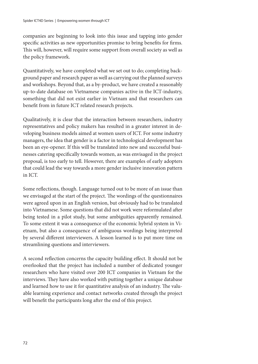companies are beginning to look into this issue and tapping into gender specific activities as new opportunities promise to bring benefits for firms. This will, however, will require some support from overall society as well as the policy framework.

Quantitatively, we have completed what we set out to do; completing background paper and research paper as well as carrying out the planned surveys and workshops. Beyond that, as a by-product, we have created a reasonably up-to-date database on Vietnamese companies active in the ICT-industry, something that did not exist earlier in Vietnam and that researchers can benefit from in future ICT related research projects.

Qualitatively, it is clear that the interaction between researchers, industry representatives and policy makers has resulted in a greater interest in developing business models aimed at women users of ICT. For some industry managers, the idea that gender is a factor in technological development has been an eye-opener. If this will be translated into new and successful businesses catering specifically towards women, as was envisaged in the project proposal, is too early to tell. However, there are examples of early adopters that could lead the way towards a more gender inclusive innovation pattern in ICT.

Some reflections, though. Language turned out to be more of an issue than we envisaged at the start of the project. The wordings of the questionnaires were agreed upon in an English version, but obviously had to be translated into Vietnamese. Some questions that did not work were reformulated after being tested in a pilot study, but some ambiguities apparently remained. To some extent it was a consequence of the economic hybrid system in Vietnam, but also a consequence of ambiguous wordings being interpreted by several different interviewers. A lesson learned is to put more time on streamlining questions and interviewers.

A second reflection concerns the capacity building effect. It should not be overlooked that the project has included a number of dedicated younger researchers who have visited over 200 ICT companies in Vietnam for the interviews. They have also worked with putting together a unique database and learned how to use it for quantitative analysis of an industry. The valuable learning experience and contact networks created through the project will benefit the participants long after the end of this project.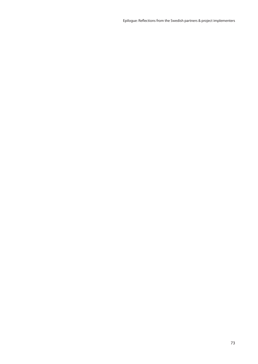Epilogue: Reflections from the Swedish partners & project implementers